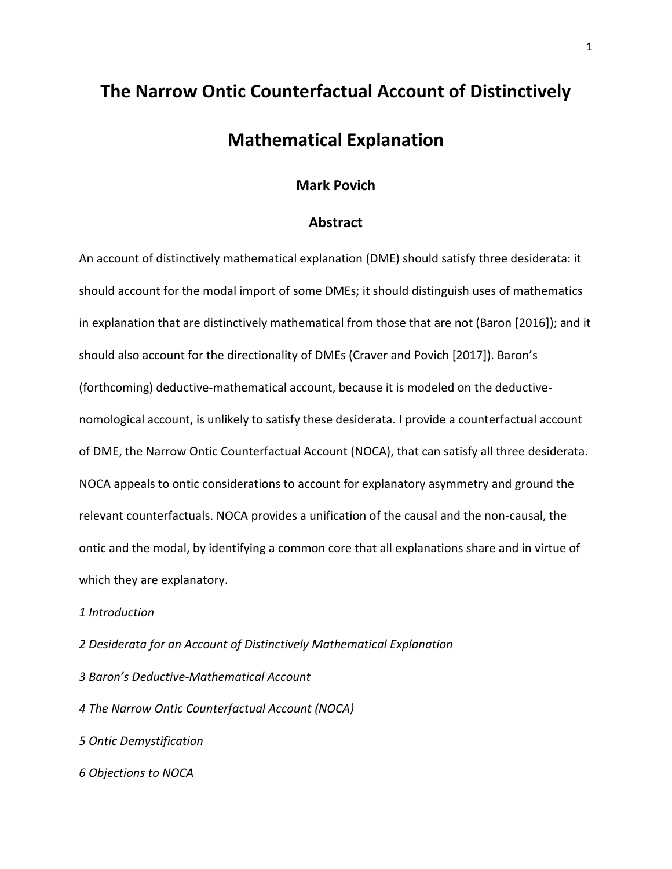# **The Narrow Ontic Counterfactual Account of Distinctively Mathematical Explanation**

# **Mark Povich**

# **Abstract**

An account of distinctively mathematical explanation (DME) should satisfy three desiderata: it should account for the modal import of some DMEs; it should distinguish uses of mathematics in explanation that are distinctively mathematical from those that are not (Baron [2016]); and it should also account for the directionality of DMEs (Craver and Povich [2017]). Baron's (forthcoming) deductive-mathematical account, because it is modeled on the deductivenomological account, is unlikely to satisfy these desiderata. I provide a counterfactual account of DME, the Narrow Ontic Counterfactual Account (NOCA), that can satisfy all three desiderata. NOCA appeals to ontic considerations to account for explanatory asymmetry and ground the relevant counterfactuals. NOCA provides a unification of the causal and the non-causal, the ontic and the modal, by identifying a common core that all explanations share and in virtue of which they are explanatory.

*1 Introduction*

*2 Desiderata for an Account of Distinctively Mathematical Explanation*

*3 Baron's Deductive-Mathematical Account*

*4 The Narrow Ontic Counterfactual Account (NOCA)*

*5 Ontic Demystification* 

*6 Objections to NOCA*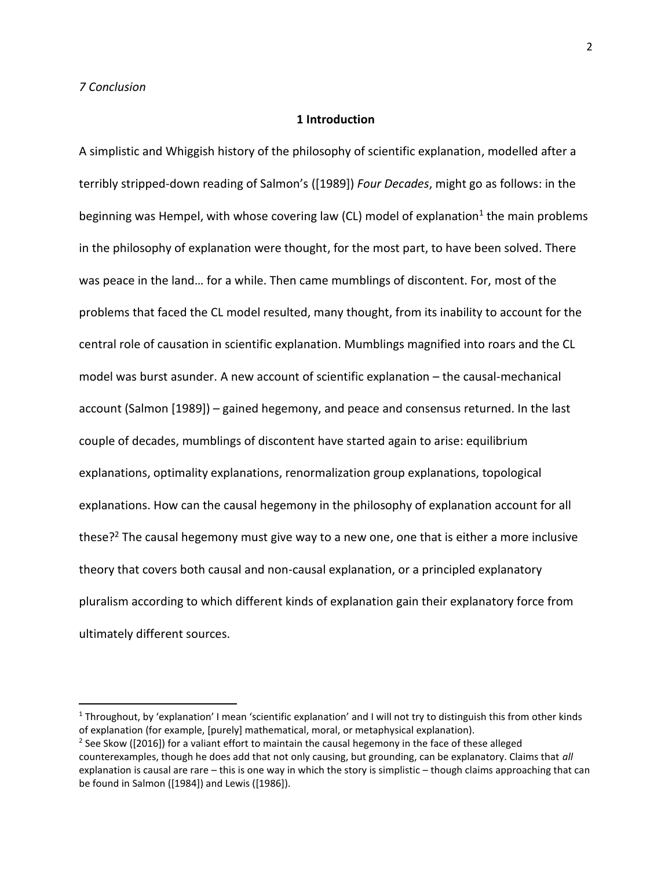l

#### **1 Introduction**

A simplistic and Whiggish history of the philosophy of scientific explanation, modelled after a terribly stripped-down reading of Salmon's ([1989]) *Four Decades*, might go as follows: in the beginning was Hempel, with whose covering law (CL) model of explanation<sup>1</sup> the main problems in the philosophy of explanation were thought, for the most part, to have been solved. There was peace in the land… for a while. Then came mumblings of discontent. For, most of the problems that faced the CL model resulted, many thought, from its inability to account for the central role of causation in scientific explanation. Mumblings magnified into roars and the CL model was burst asunder. A new account of scientific explanation – the causal-mechanical account (Salmon [1989]) – gained hegemony, and peace and consensus returned. In the last couple of decades, mumblings of discontent have started again to arise: equilibrium explanations, optimality explanations, renormalization group explanations, topological explanations. How can the causal hegemony in the philosophy of explanation account for all these?<sup>2</sup> The causal hegemony must give way to a new one, one that is either a more inclusive theory that covers both causal and non-causal explanation, or a principled explanatory pluralism according to which different kinds of explanation gain their explanatory force from ultimately different sources.

<sup>&</sup>lt;sup>1</sup> Throughout, by 'explanation' I mean 'scientific explanation' and I will not try to distinguish this from other kinds of explanation (for example, [purely] mathematical, moral, or metaphysical explanation).

<sup>&</sup>lt;sup>2</sup> See Skow ([2016]) for a valiant effort to maintain the causal hegemony in the face of these alleged counterexamples, though he does add that not only causing, but grounding, can be explanatory. Claims that *all*  explanation is causal are rare – this is one way in which the story is simplistic – though claims approaching that can be found in Salmon ([1984]) and Lewis ([1986]).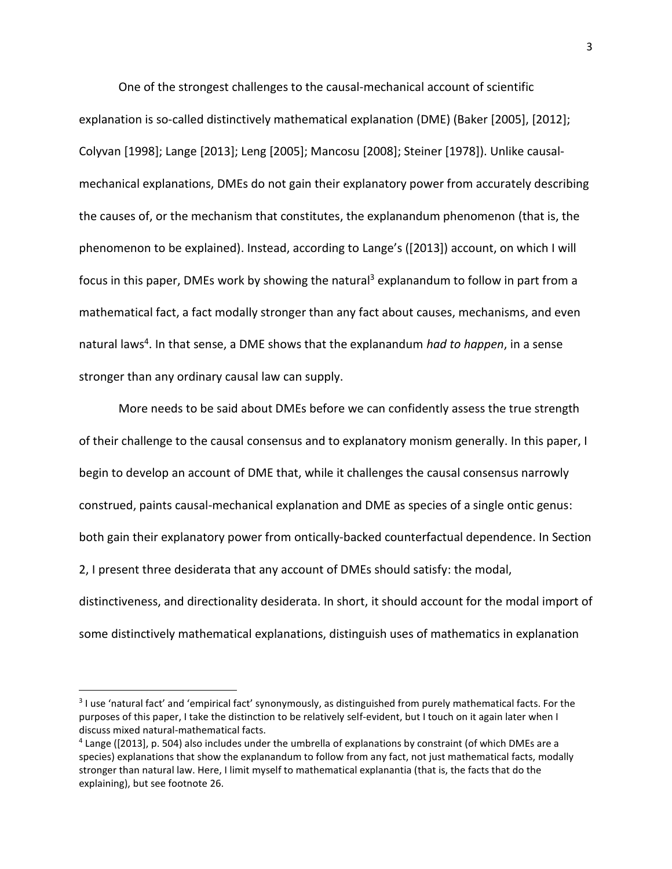One of the strongest challenges to the causal-mechanical account of scientific explanation is so-called distinctively mathematical explanation (DME) (Baker [2005], [2012]; Colyvan [1998]; Lange [2013]; Leng [2005]; Mancosu [2008]; Steiner [1978]). Unlike causalmechanical explanations, DMEs do not gain their explanatory power from accurately describing the causes of, or the mechanism that constitutes, the explanandum phenomenon (that is, the phenomenon to be explained). Instead, according to Lange's ([2013]) account, on which I will focus in this paper, DMEs work by showing the natural<sup>3</sup> explanandum to follow in part from a mathematical fact, a fact modally stronger than any fact about causes, mechanisms, and even natural laws<sup>4</sup>. In that sense, a DME shows that the explanandum *had to happen*, in a sense stronger than any ordinary causal law can supply.

More needs to be said about DMEs before we can confidently assess the true strength of their challenge to the causal consensus and to explanatory monism generally. In this paper, I begin to develop an account of DME that, while it challenges the causal consensus narrowly construed, paints causal-mechanical explanation and DME as species of a single ontic genus: both gain their explanatory power from ontically-backed counterfactual dependence. In Section 2, I present three desiderata that any account of DMEs should satisfy: the modal, distinctiveness, and directionality desiderata. In short, it should account for the modal import of some distinctively mathematical explanations, distinguish uses of mathematics in explanation

<sup>&</sup>lt;sup>3</sup> I use 'natural fact' and 'empirical fact' synonymously, as distinguished from purely mathematical facts. For the purposes of this paper, I take the distinction to be relatively self-evident, but I touch on it again later when I discuss mixed natural-mathematical facts.

<sup>&</sup>lt;sup>4</sup> Lange ([2013], p. 504) also includes under the umbrella of explanations by constraint (of which DMEs are a species) explanations that show the explanandum to follow from any fact, not just mathematical facts, modally stronger than natural law. Here, I limit myself to mathematical explanantia (that is, the facts that do the explaining), but see footnote 26.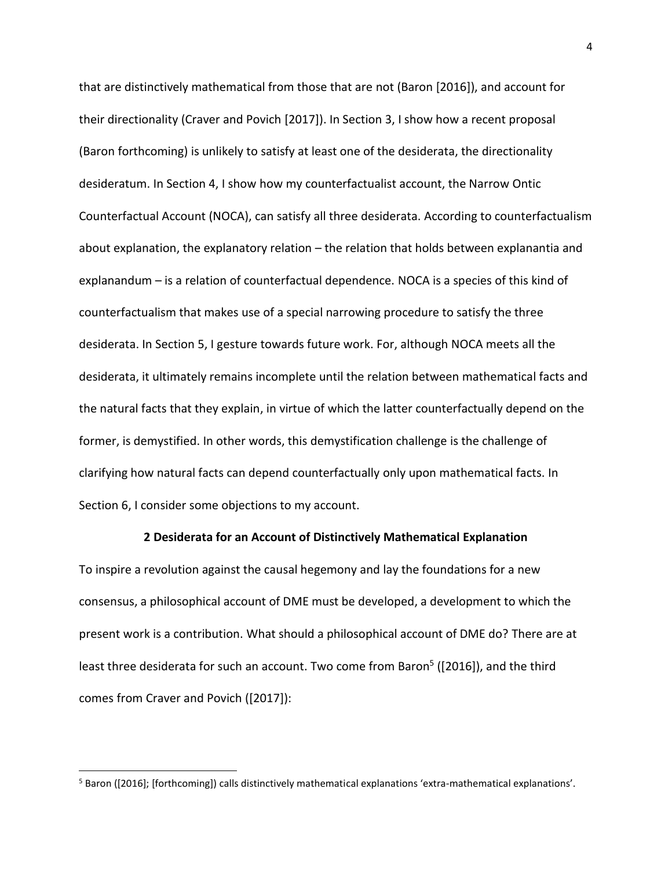that are distinctively mathematical from those that are not (Baron [2016]), and account for their directionality (Craver and Povich [2017]). In Section 3, I show how a recent proposal (Baron forthcoming) is unlikely to satisfy at least one of the desiderata, the directionality desideratum. In Section 4, I show how my counterfactualist account, the Narrow Ontic Counterfactual Account (NOCA), can satisfy all three desiderata. According to counterfactualism about explanation, the explanatory relation – the relation that holds between explanantia and explanandum – is a relation of counterfactual dependence. NOCA is a species of this kind of counterfactualism that makes use of a special narrowing procedure to satisfy the three desiderata. In Section 5, I gesture towards future work. For, although NOCA meets all the desiderata, it ultimately remains incomplete until the relation between mathematical facts and the natural facts that they explain, in virtue of which the latter counterfactually depend on the former, is demystified. In other words, this demystification challenge is the challenge of clarifying how natural facts can depend counterfactually only upon mathematical facts. In Section 6, I consider some objections to my account.

## **2 Desiderata for an Account of Distinctively Mathematical Explanation**

To inspire a revolution against the causal hegemony and lay the foundations for a new consensus, a philosophical account of DME must be developed, a development to which the present work is a contribution. What should a philosophical account of DME do? There are at least three desiderata for such an account. Two come from Baron<sup>5</sup> ([2016]), and the third comes from Craver and Povich ([2017]):

<sup>5</sup> Baron ([2016]; [forthcoming]) calls distinctively mathematical explanations 'extra-mathematical explanations'.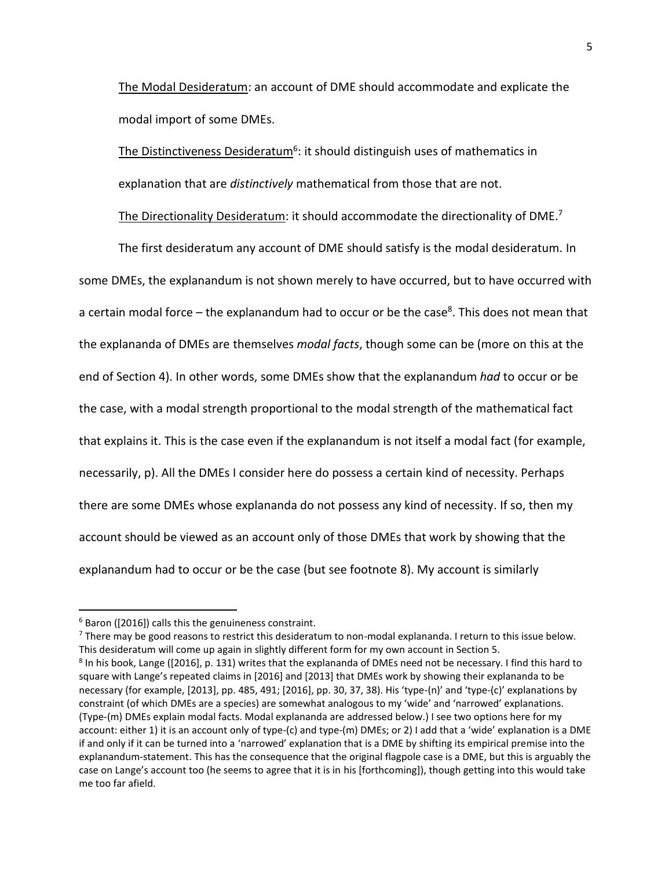The Modal Desideratum: an account of DME should accommodate and explicate the modal import of some DMEs.

The Distinctiveness Desideratum<sup>6</sup>: it should distinguish uses of mathematics in explanation that are *distinctively* mathematical from those that are not.

The Directionality Desideratum: it should accommodate the directionality of DME.<sup>7</sup>

The first desideratum any account of DME should satisfy is the modal desideratum. In some DMEs, the explanandum is not shown merely to have occurred, but to have occurred with a certain modal force – the explanandum had to occur or be the case<sup>8</sup>. This does not mean that the explananda of DMEs are themselves *modal facts*, though some can be (more on this at the end of Section 4). In other words, some DMEs show that the explanandum *had* to occur or be the case, with a modal strength proportional to the modal strength of the mathematical fact that explains it. This is the case even if the explanandum is not itself a modal fact (for example, necessarily, p). All the DMEs I consider here do possess a certain kind of necessity. Perhaps there are some DMEs whose explananda do not possess any kind of necessity. If so, then my account should be viewed as an account only of those DMEs that work by showing that the explanandum had to occur or be the case (but see footnote 8). My account is similarly

 $\overline{\phantom{a}}$ 

<sup>7</sup> There may be good reasons to restrict this desideratum to non-modal explananda. I return to this issue below. This desideratum will come up again in slightly different form for my own account in Section 5.

 $6$  Baron ([2016]) calls this the genuineness constraint.

<sup>&</sup>lt;sup>8</sup> In his book, Lange ([2016], p. 131) writes that the explananda of DMEs need not be necessary. I find this hard to square with Lange's repeated claims in [2016] and [2013] that DMEs work by showing their explananda to be necessary (for example, [2013], pp. 485, 491; [2016], pp. 30, 37, 38). His 'type-(n)' and 'type-(c)' explanations by constraint (of which DMEs are a species) are somewhat analogous to my 'wide' and 'narrowed' explanations. (Type-(m) DMEs explain modal facts. Modal explananda are addressed below.) I see two options here for my account: either 1) it is an account only of type-(c) and type-(m) DMEs; or 2) I add that a 'wide' explanation is a DME if and only if it can be turned into a 'narrowed' explanation that is a DME by shifting its empirical premise into the explanandum-statement. This has the consequence that the original flagpole case is a DME, but this is arguably the case on Lange's account too (he seems to agree that it is in his [forthcoming]), though getting into this would take me too far afield.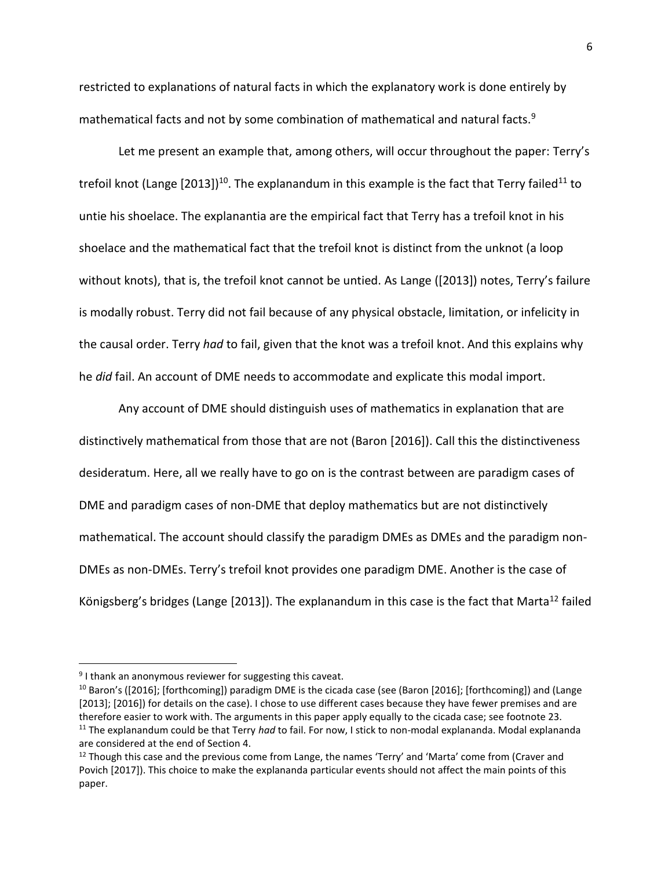restricted to explanations of natural facts in which the explanatory work is done entirely by mathematical facts and not by some combination of mathematical and natural facts.<sup>9</sup>

Let me present an example that, among others, will occur throughout the paper: Terry's trefoil knot (Lange [2013])<sup>10</sup>. The explanandum in this example is the fact that Terry failed<sup>11</sup> to untie his shoelace. The explanantia are the empirical fact that Terry has a trefoil knot in his shoelace and the mathematical fact that the trefoil knot is distinct from the unknot (a loop without knots), that is, the trefoil knot cannot be untied. As Lange ([2013]) notes, Terry's failure is modally robust. Terry did not fail because of any physical obstacle, limitation, or infelicity in the causal order. Terry *had* to fail, given that the knot was a trefoil knot. And this explains why he *did* fail. An account of DME needs to accommodate and explicate this modal import.

Any account of DME should distinguish uses of mathematics in explanation that are distinctively mathematical from those that are not (Baron [2016]). Call this the distinctiveness desideratum. Here, all we really have to go on is the contrast between are paradigm cases of DME and paradigm cases of non-DME that deploy mathematics but are not distinctively mathematical. The account should classify the paradigm DMEs as DMEs and the paradigm non-DMEs as non-DMEs. Terry's trefoil knot provides one paradigm DME. Another is the case of Königsberg's bridges (Lange [2013]). The explanandum in this case is the fact that Marta<sup>12</sup> failed

<sup>&</sup>lt;sup>9</sup> I thank an anonymous reviewer for suggesting this caveat.

<sup>&</sup>lt;sup>10</sup> Baron's ([2016]; [forthcoming]) paradigm DME is the cicada case (see (Baron [2016]; [forthcoming]) and (Lange [2013]; [2016]) for details on the case). I chose to use different cases because they have fewer premises and are therefore easier to work with. The arguments in this paper apply equally to the cicada case; see footnote 23. <sup>11</sup> The explanandum could be that Terry *had* to fail. For now, I stick to non-modal explananda. Modal explananda are considered at the end of Section 4.

<sup>&</sup>lt;sup>12</sup> Though this case and the previous come from Lange, the names 'Terry' and 'Marta' come from (Craver and Povich [2017]). This choice to make the explananda particular events should not affect the main points of this paper.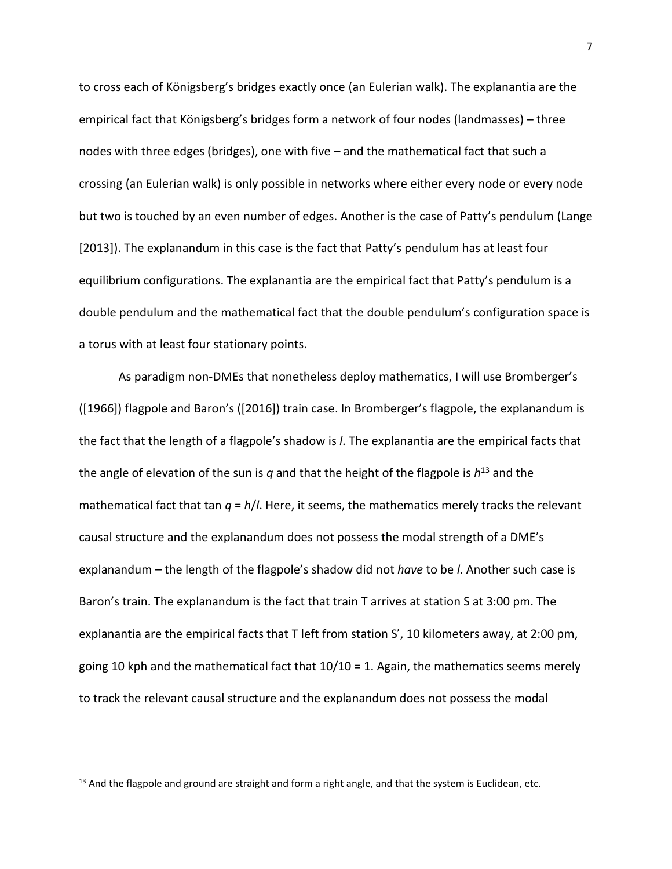to cross each of Königsberg's bridges exactly once (an Eulerian walk). The explanantia are the empirical fact that Königsberg's bridges form a network of four nodes (landmasses) – three nodes with three edges (bridges), one with five – and the mathematical fact that such a crossing (an Eulerian walk) is only possible in networks where either every node or every node but two is touched by an even number of edges. Another is the case of Patty's pendulum (Lange [2013]). The explanandum in this case is the fact that Patty's pendulum has at least four equilibrium configurations. The explanantia are the empirical fact that Patty's pendulum is a double pendulum and the mathematical fact that the double pendulum's configuration space is a torus with at least four stationary points.

As paradigm non-DMEs that nonetheless deploy mathematics, I will use Bromberger's ([1966]) flagpole and Baron's ([2016]) train case. In Bromberger's flagpole, the explanandum is the fact that the length of a flagpole's shadow is *l*. The explanantia are the empirical facts that the angle of elevation of the sun is *q* and that the height of the flagpole is *h* <sup>13</sup> and the mathematical fact that tan  $q = h/l$ . Here, it seems, the mathematics merely tracks the relevant causal structure and the explanandum does not possess the modal strength of a DME's explanandum – the length of the flagpole's shadow did not *have* to be *l*. Another such case is Baron's train. The explanandum is the fact that train T arrives at station S at 3:00 pm. The explanantia are the empirical facts that T left from station S', 10 kilometers away, at 2:00 pm, going 10 kph and the mathematical fact that 10/10 = 1. Again, the mathematics seems merely to track the relevant causal structure and the explanandum does not possess the modal

 $13$  And the flagpole and ground are straight and form a right angle, and that the system is Euclidean, etc.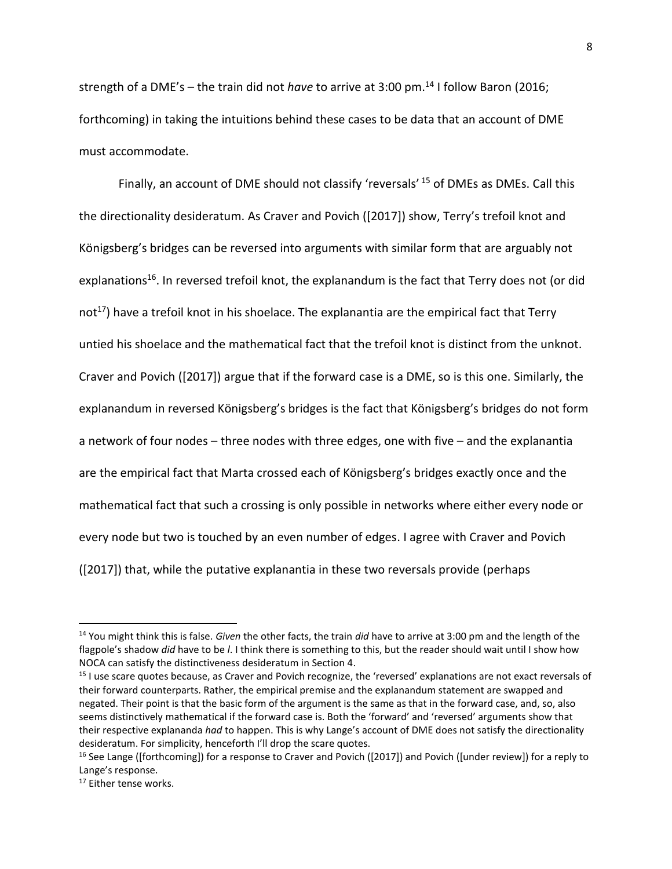strength of a DME's – the train did not *have* to arrive at 3:00 pm.<sup>14</sup> I follow Baron (2016; forthcoming) in taking the intuitions behind these cases to be data that an account of DME must accommodate.

Finally, an account of DME should not classify 'reversals' <sup>15</sup> of DMEs as DMEs. Call this the directionality desideratum. As Craver and Povich ([2017]) show, Terry's trefoil knot and Königsberg's bridges can be reversed into arguments with similar form that are arguably not explanations<sup>16</sup>. In reversed trefoil knot, the explanandum is the fact that Terry does not (or did not<sup>17</sup>) have a trefoil knot in his shoelace. The explanantia are the empirical fact that Terry untied his shoelace and the mathematical fact that the trefoil knot is distinct from the unknot. Craver and Povich ([2017]) argue that if the forward case is a DME, so is this one. Similarly, the explanandum in reversed Königsberg's bridges is the fact that Königsberg's bridges do not form a network of four nodes – three nodes with three edges, one with five – and the explanantia are the empirical fact that Marta crossed each of Königsberg's bridges exactly once and the mathematical fact that such a crossing is only possible in networks where either every node or every node but two is touched by an even number of edges. I agree with Craver and Povich ([2017]) that, while the putative explanantia in these two reversals provide (perhaps

<sup>14</sup> You might think this is false. *Given* the other facts, the train *did* have to arrive at 3:00 pm and the length of the flagpole's shadow *did* have to be *l*. I think there is something to this, but the reader should wait until I show how NOCA can satisfy the distinctiveness desideratum in Section 4.

<sup>&</sup>lt;sup>15</sup> I use scare quotes because, as Craver and Povich recognize, the 'reversed' explanations are not exact reversals of their forward counterparts. Rather, the empirical premise and the explanandum statement are swapped and negated. Their point is that the basic form of the argument is the same as that in the forward case, and, so, also seems distinctively mathematical if the forward case is. Both the 'forward' and 'reversed' arguments show that their respective explananda *had* to happen. This is why Lange's account of DME does not satisfy the directionality desideratum. For simplicity, henceforth I'll drop the scare quotes.

<sup>&</sup>lt;sup>16</sup> See Lange ([forthcoming]) for a response to Craver and Povich ([2017]) and Povich ([under review]) for a reply to Lange's response.

<sup>&</sup>lt;sup>17</sup> Either tense works.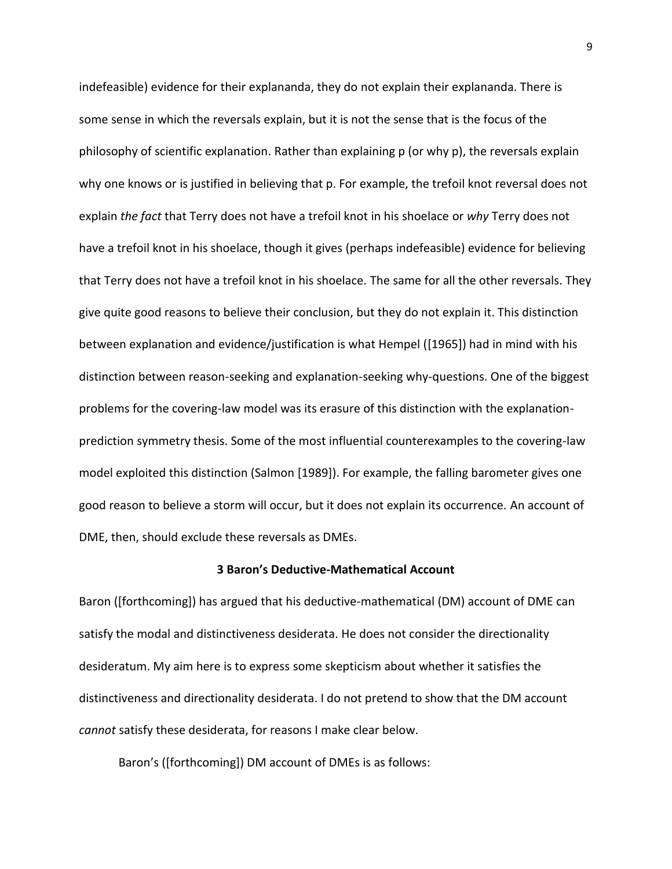indefeasible) evidence for their explananda, they do not explain their explananda. There is some sense in which the reversals explain, but it is not the sense that is the focus of the philosophy of scientific explanation. Rather than explaining p (or why p), the reversals explain why one knows or is justified in believing that p. For example, the trefoil knot reversal does not explain *the fact* that Terry does not have a trefoil knot in his shoelace or *why* Terry does not have a trefoil knot in his shoelace, though it gives (perhaps indefeasible) evidence for believing that Terry does not have a trefoil knot in his shoelace. The same for all the other reversals. They give quite good reasons to believe their conclusion, but they do not explain it. This distinction between explanation and evidence/justification is what Hempel ([1965]) had in mind with his distinction between reason-seeking and explanation-seeking why-questions. One of the biggest problems for the covering-law model was its erasure of this distinction with the explanationprediction symmetry thesis. Some of the most influential counterexamples to the covering-law model exploited this distinction (Salmon [1989]). For example, the falling barometer gives one good reason to believe a storm will occur, but it does not explain its occurrence. An account of DME, then, should exclude these reversals as DMEs.

### **3 Baron's Deductive-Mathematical Account**

Baron ([forthcoming]) has argued that his deductive-mathematical (DM) account of DME can satisfy the modal and distinctiveness desiderata. He does not consider the directionality desideratum. My aim here is to express some skepticism about whether it satisfies the distinctiveness and directionality desiderata. I do not pretend to show that the DM account *cannot* satisfy these desiderata, for reasons I make clear below.

Baron's ([forthcoming]) DM account of DMEs is as follows: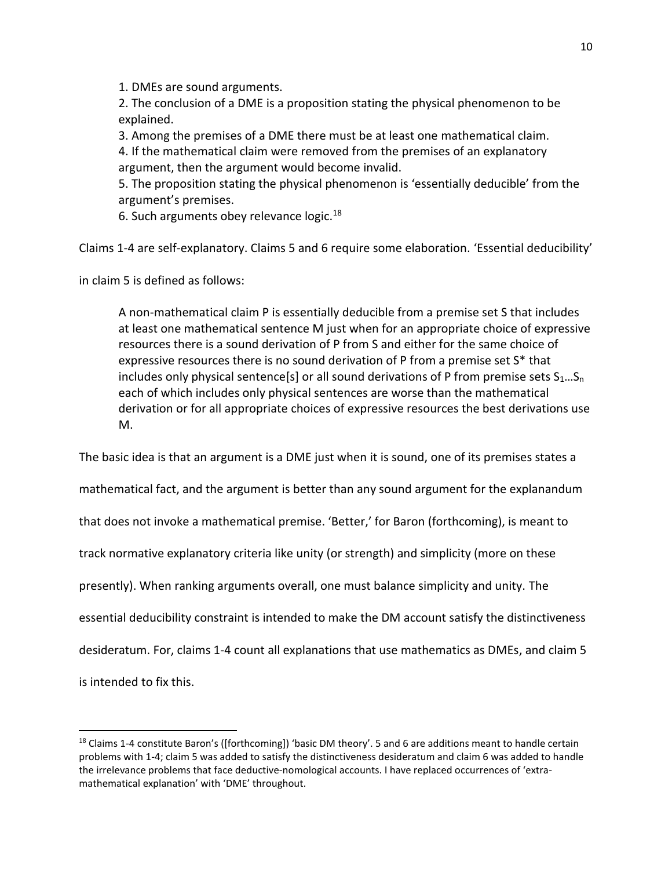1. DMEs are sound arguments.

2. The conclusion of a DME is a proposition stating the physical phenomenon to be explained.

3. Among the premises of a DME there must be at least one mathematical claim.

4. If the mathematical claim were removed from the premises of an explanatory argument, then the argument would become invalid.

5. The proposition stating the physical phenomenon is 'essentially deducible' from the argument's premises.

6. Such arguments obey relevance logic.<sup>18</sup>

Claims 1-4 are self-explanatory. Claims 5 and 6 require some elaboration. 'Essential deducibility'

in claim 5 is defined as follows:

l

A non-mathematical claim P is essentially deducible from a premise set S that includes at least one mathematical sentence M just when for an appropriate choice of expressive resources there is a sound derivation of P from S and either for the same choice of expressive resources there is no sound derivation of P from a premise set S\* that includes only physical sentence[s] or all sound derivations of P from premise sets  $S_1...S_n$ each of which includes only physical sentences are worse than the mathematical derivation or for all appropriate choices of expressive resources the best derivations use M.

The basic idea is that an argument is a DME just when it is sound, one of its premises states a mathematical fact, and the argument is better than any sound argument for the explanandum that does not invoke a mathematical premise. 'Better,' for Baron (forthcoming), is meant to track normative explanatory criteria like unity (or strength) and simplicity (more on these presently). When ranking arguments overall, one must balance simplicity and unity. The essential deducibility constraint is intended to make the DM account satisfy the distinctiveness desideratum. For, claims 1-4 count all explanations that use mathematics as DMEs, and claim 5 is intended to fix this.

<sup>&</sup>lt;sup>18</sup> Claims 1-4 constitute Baron's ([forthcoming]) 'basic DM theory'. 5 and 6 are additions meant to handle certain problems with 1-4; claim 5 was added to satisfy the distinctiveness desideratum and claim 6 was added to handle the irrelevance problems that face deductive-nomological accounts. I have replaced occurrences of 'extramathematical explanation' with 'DME' throughout.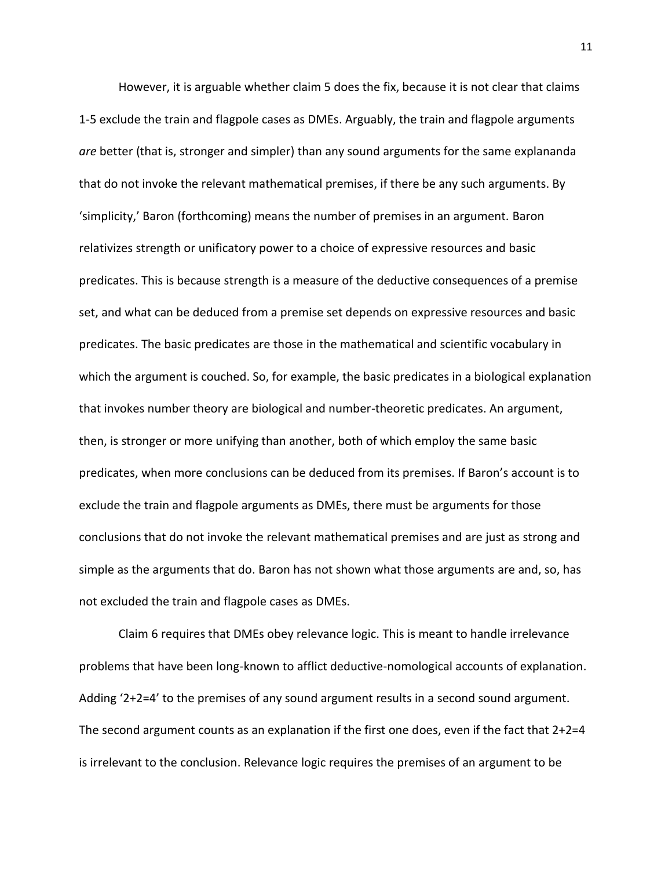However, it is arguable whether claim 5 does the fix, because it is not clear that claims 1-5 exclude the train and flagpole cases as DMEs. Arguably, the train and flagpole arguments *are* better (that is, stronger and simpler) than any sound arguments for the same explananda that do not invoke the relevant mathematical premises, if there be any such arguments. By 'simplicity,' Baron (forthcoming) means the number of premises in an argument. Baron relativizes strength or unificatory power to a choice of expressive resources and basic predicates. This is because strength is a measure of the deductive consequences of a premise set, and what can be deduced from a premise set depends on expressive resources and basic predicates. The basic predicates are those in the mathematical and scientific vocabulary in which the argument is couched. So, for example, the basic predicates in a biological explanation that invokes number theory are biological and number-theoretic predicates. An argument, then, is stronger or more unifying than another, both of which employ the same basic predicates, when more conclusions can be deduced from its premises. If Baron's account is to exclude the train and flagpole arguments as DMEs, there must be arguments for those conclusions that do not invoke the relevant mathematical premises and are just as strong and simple as the arguments that do. Baron has not shown what those arguments are and, so, has not excluded the train and flagpole cases as DMEs.

Claim 6 requires that DMEs obey relevance logic. This is meant to handle irrelevance problems that have been long-known to afflict deductive-nomological accounts of explanation. Adding '2+2=4' to the premises of any sound argument results in a second sound argument. The second argument counts as an explanation if the first one does, even if the fact that 2+2=4 is irrelevant to the conclusion. Relevance logic requires the premises of an argument to be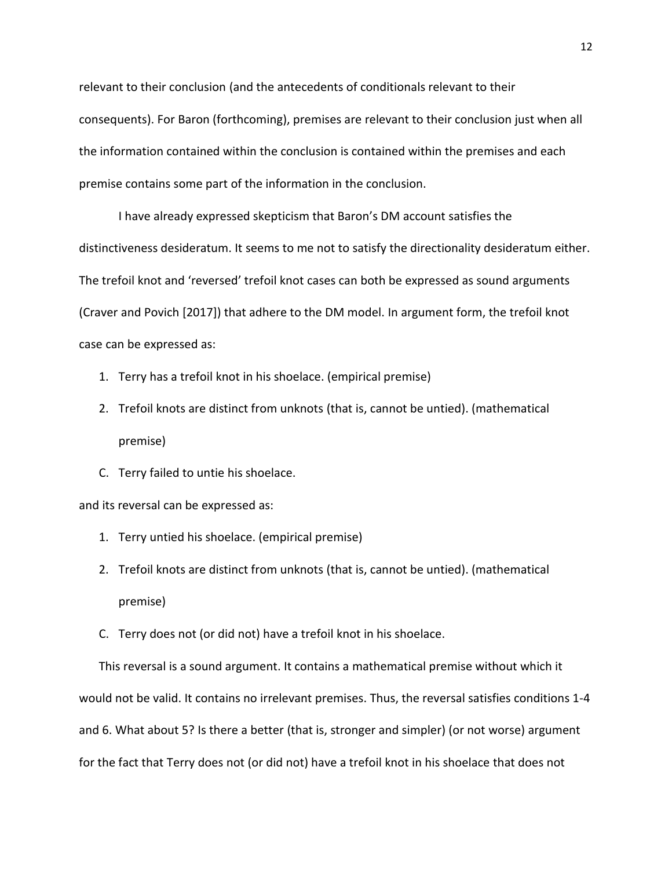relevant to their conclusion (and the antecedents of conditionals relevant to their consequents). For Baron (forthcoming), premises are relevant to their conclusion just when all the information contained within the conclusion is contained within the premises and each premise contains some part of the information in the conclusion.

I have already expressed skepticism that Baron's DM account satisfies the distinctiveness desideratum. It seems to me not to satisfy the directionality desideratum either. The trefoil knot and 'reversed' trefoil knot cases can both be expressed as sound arguments (Craver and Povich [2017]) that adhere to the DM model. In argument form, the trefoil knot case can be expressed as:

- 1. Terry has a trefoil knot in his shoelace. (empirical premise)
- 2. Trefoil knots are distinct from unknots (that is, cannot be untied). (mathematical premise)
- C. Terry failed to untie his shoelace.

and its reversal can be expressed as:

- 1. Terry untied his shoelace. (empirical premise)
- 2. Trefoil knots are distinct from unknots (that is, cannot be untied). (mathematical premise)
- C. Terry does not (or did not) have a trefoil knot in his shoelace.

This reversal is a sound argument. It contains a mathematical premise without which it would not be valid. It contains no irrelevant premises. Thus, the reversal satisfies conditions 1-4 and 6. What about 5? Is there a better (that is, stronger and simpler) (or not worse) argument for the fact that Terry does not (or did not) have a trefoil knot in his shoelace that does not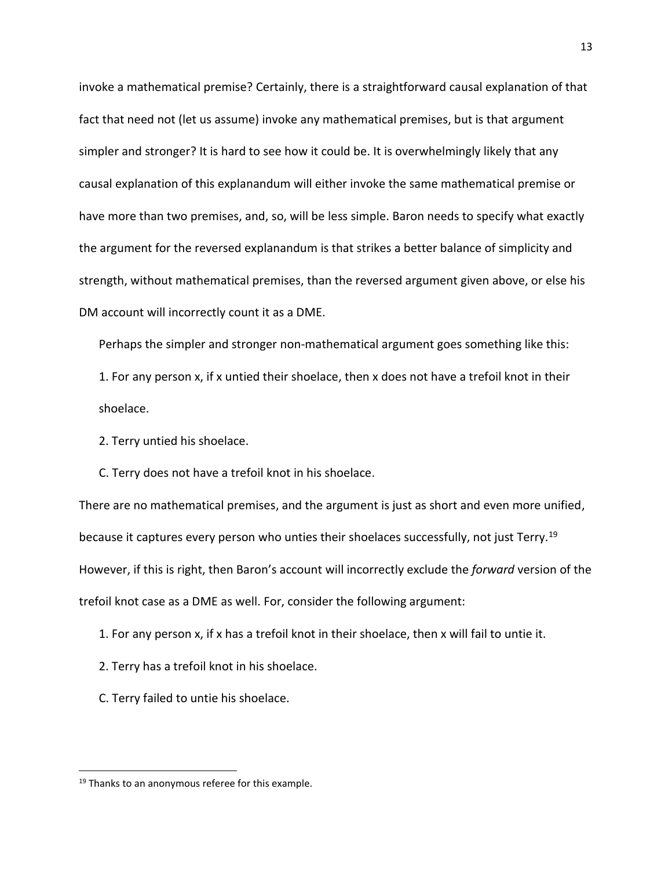invoke a mathematical premise? Certainly, there is a straightforward causal explanation of that fact that need not (let us assume) invoke any mathematical premises, but is that argument simpler and stronger? It is hard to see how it could be. It is overwhelmingly likely that any causal explanation of this explanandum will either invoke the same mathematical premise or have more than two premises, and, so, will be less simple. Baron needs to specify what exactly the argument for the reversed explanandum is that strikes a better balance of simplicity and strength, without mathematical premises, than the reversed argument given above, or else his DM account will incorrectly count it as a DME.

Perhaps the simpler and stronger non-mathematical argument goes something like this:

1. For any person x, if x untied their shoelace, then x does not have a trefoil knot in their shoelace.

2. Terry untied his shoelace.

C. Terry does not have a trefoil knot in his shoelace.

There are no mathematical premises, and the argument is just as short and even more unified, because it captures every person who unties their shoelaces successfully, not just Terry.<sup>19</sup> However, if this is right, then Baron's account will incorrectly exclude the *forward* version of the trefoil knot case as a DME as well. For, consider the following argument:

1. For any person x, if x has a trefoil knot in their shoelace, then x will fail to untie it.

2. Terry has a trefoil knot in his shoelace.

C. Terry failed to untie his shoelace.

<sup>&</sup>lt;sup>19</sup> Thanks to an anonymous referee for this example.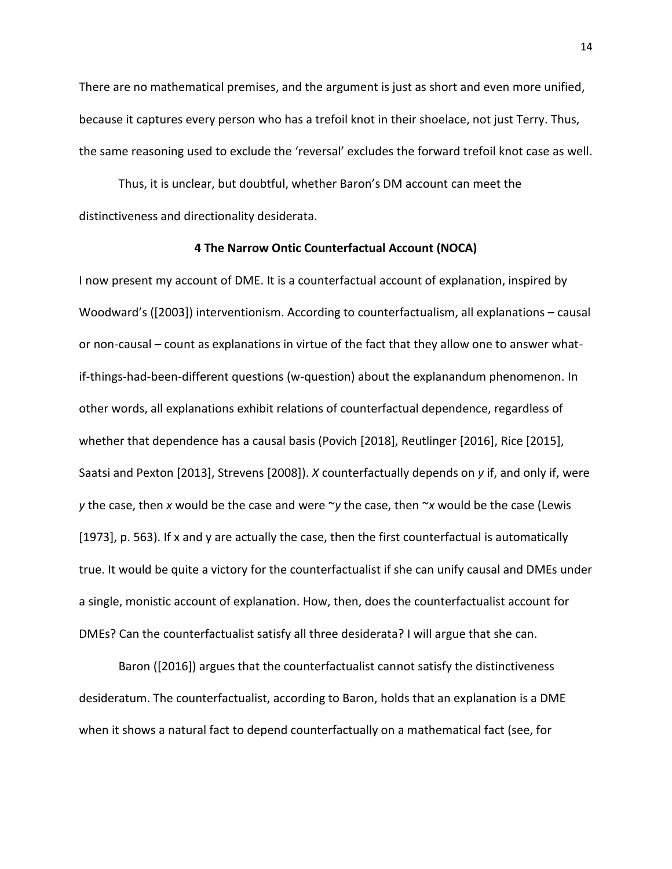There are no mathematical premises, and the argument is just as short and even more unified, because it captures every person who has a trefoil knot in their shoelace, not just Terry. Thus, the same reasoning used to exclude the 'reversal' excludes the forward trefoil knot case as well.

Thus, it is unclear, but doubtful, whether Baron's DM account can meet the distinctiveness and directionality desiderata.

## **4 The Narrow Ontic Counterfactual Account (NOCA)**

I now present my account of DME. It is a counterfactual account of explanation, inspired by Woodward's ([2003]) interventionism. According to counterfactualism, all explanations – causal or non-causal – count as explanations in virtue of the fact that they allow one to answer whatif-things-had-been-different questions (w-question) about the explanandum phenomenon. In other words, all explanations exhibit relations of counterfactual dependence, regardless of whether that dependence has a causal basis (Povich [2018], Reutlinger [2016], Rice [2015], Saatsi and Pexton [2013], Strevens [2008]). *X* counterfactually depends on *y* if, and only if, were *y* the case, then *x* would be the case and were ~*y* the case, then ~*x* would be the case (Lewis [1973], p. 563). If x and y are actually the case, then the first counterfactual is automatically true. It would be quite a victory for the counterfactualist if she can unify causal and DMEs under a single, monistic account of explanation. How, then, does the counterfactualist account for DMEs? Can the counterfactualist satisfy all three desiderata? I will argue that she can.

Baron ([2016]) argues that the counterfactualist cannot satisfy the distinctiveness desideratum. The counterfactualist, according to Baron, holds that an explanation is a DME when it shows a natural fact to depend counterfactually on a mathematical fact (see, for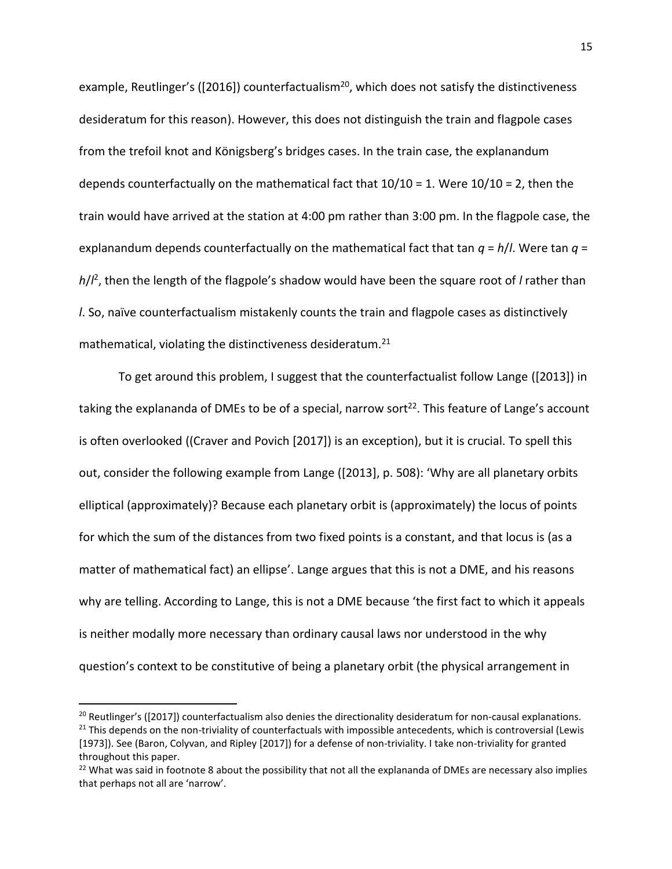example, Reutlinger's ([2016]) counterfactualism<sup>20</sup>, which does not satisfy the distinctiveness desideratum for this reason). However, this does not distinguish the train and flagpole cases from the trefoil knot and Königsberg's bridges cases. In the train case, the explanandum depends counterfactually on the mathematical fact that 10/10 = 1. Were 10/10 = 2, then the train would have arrived at the station at 4:00 pm rather than 3:00 pm. In the flagpole case, the explanandum depends counterfactually on the mathematical fact that tan *q* = *h*/*l*. Were tan *q* = *h*/*l* 2 , then the length of the flagpole's shadow would have been the square root of *l* rather than *l*. So, naïve counterfactualism mistakenly counts the train and flagpole cases as distinctively mathematical, violating the distinctiveness desideratum.<sup>21</sup>

To get around this problem, I suggest that the counterfactualist follow Lange ([2013]) in taking the explananda of DMEs to be of a special, narrow sort<sup>22</sup>. This feature of Lange's account is often overlooked ((Craver and Povich [2017]) is an exception), but it is crucial. To spell this out, consider the following example from Lange ([2013], p. 508): 'Why are all planetary orbits elliptical (approximately)? Because each planetary orbit is (approximately) the locus of points for which the sum of the distances from two fixed points is a constant, and that locus is (as a matter of mathematical fact) an ellipse'. Lange argues that this is not a DME, and his reasons why are telling. According to Lange, this is not a DME because 'the first fact to which it appeals is neither modally more necessary than ordinary causal laws nor understood in the why question's context to be constitutive of being a planetary orbit (the physical arrangement in

l

 $20$  Reutlinger's ([2017]) counterfactualism also denies the directionality desideratum for non-causal explanations.  $21$  This depends on the non-triviality of counterfactuals with impossible antecedents, which is controversial (Lewis [1973]). See (Baron, Colyvan, and Ripley [2017]) for a defense of non-triviality. I take non-triviality for granted throughout this paper.

 $22$  What was said in footnote 8 about the possibility that not all the explananda of DMEs are necessary also implies that perhaps not all are 'narrow'.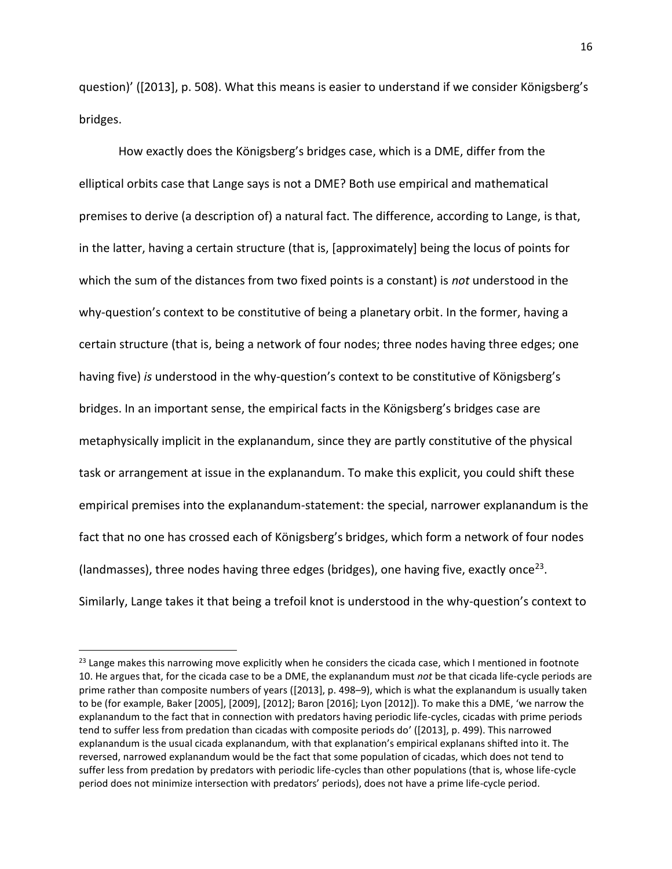question)' ([2013], p. 508). What this means is easier to understand if we consider Königsberg's bridges.

How exactly does the Königsberg's bridges case, which is a DME, differ from the elliptical orbits case that Lange says is not a DME? Both use empirical and mathematical premises to derive (a description of) a natural fact. The difference, according to Lange, is that, in the latter, having a certain structure (that is, [approximately] being the locus of points for which the sum of the distances from two fixed points is a constant) is *not* understood in the why-question's context to be constitutive of being a planetary orbit. In the former, having a certain structure (that is, being a network of four nodes; three nodes having three edges; one having five) *is* understood in the why-question's context to be constitutive of Königsberg's bridges. In an important sense, the empirical facts in the Königsberg's bridges case are metaphysically implicit in the explanandum, since they are partly constitutive of the physical task or arrangement at issue in the explanandum. To make this explicit, you could shift these empirical premises into the explanandum-statement: the special, narrower explanandum is the fact that no one has crossed each of Königsberg's bridges, which form a network of four nodes (landmasses), three nodes having three edges (bridges), one having five, exactly once<sup>23</sup>. Similarly, Lange takes it that being a trefoil knot is understood in the why-question's context to

 $\overline{a}$ 

<sup>&</sup>lt;sup>23</sup> Lange makes this narrowing move explicitly when he considers the cicada case, which I mentioned in footnote 10. He argues that, for the cicada case to be a DME, the explanandum must *not* be that cicada life-cycle periods are prime rather than composite numbers of years ([2013], p. 498–9), which is what the explanandum is usually taken to be (for example, Baker [2005], [2009], [2012]; Baron [2016]; Lyon [2012]). To make this a DME, 'we narrow the explanandum to the fact that in connection with predators having periodic life-cycles, cicadas with prime periods tend to suffer less from predation than cicadas with composite periods do' ([2013], p. 499). This narrowed explanandum is the usual cicada explanandum, with that explanation's empirical explanans shifted into it. The reversed, narrowed explanandum would be the fact that some population of cicadas, which does not tend to suffer less from predation by predators with periodic life-cycles than other populations (that is, whose life-cycle period does not minimize intersection with predators' periods), does not have a prime life-cycle period.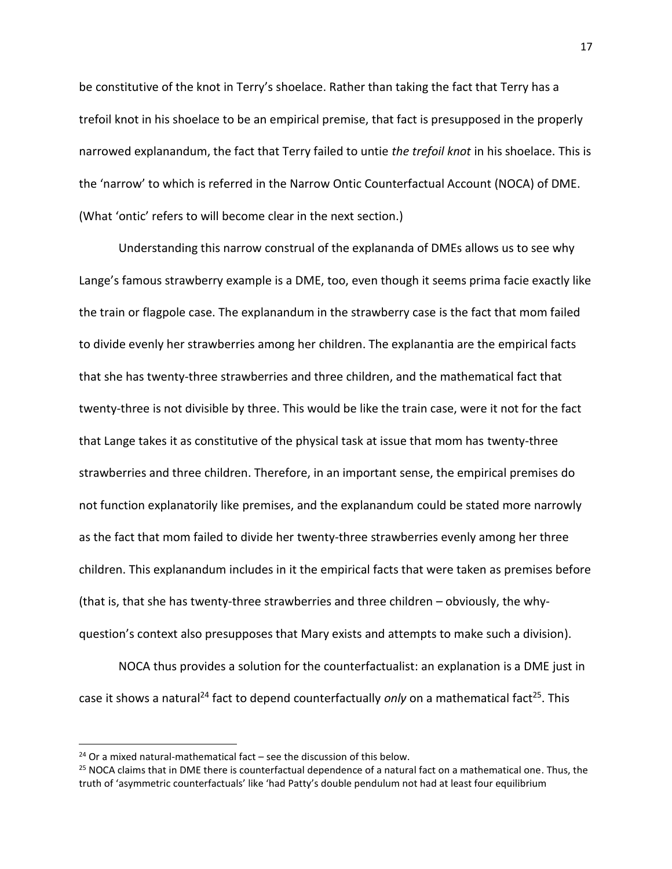be constitutive of the knot in Terry's shoelace. Rather than taking the fact that Terry has a trefoil knot in his shoelace to be an empirical premise, that fact is presupposed in the properly narrowed explanandum, the fact that Terry failed to untie *the trefoil knot* in his shoelace. This is the 'narrow' to which is referred in the Narrow Ontic Counterfactual Account (NOCA) of DME. (What 'ontic' refers to will become clear in the next section.)

Understanding this narrow construal of the explananda of DMEs allows us to see why Lange's famous strawberry example is a DME, too, even though it seems prima facie exactly like the train or flagpole case. The explanandum in the strawberry case is the fact that mom failed to divide evenly her strawberries among her children. The explanantia are the empirical facts that she has twenty-three strawberries and three children, and the mathematical fact that twenty-three is not divisible by three. This would be like the train case, were it not for the fact that Lange takes it as constitutive of the physical task at issue that mom has twenty-three strawberries and three children. Therefore, in an important sense, the empirical premises do not function explanatorily like premises, and the explanandum could be stated more narrowly as the fact that mom failed to divide her twenty-three strawberries evenly among her three children. This explanandum includes in it the empirical facts that were taken as premises before (that is, that she has twenty-three strawberries and three children – obviously, the whyquestion's context also presupposes that Mary exists and attempts to make such a division).

NOCA thus provides a solution for the counterfactualist: an explanation is a DME just in case it shows a natural<sup>24</sup> fact to depend counterfactually *only* on a mathematical fact<sup>25</sup>. This

 $\overline{a}$ 

<sup>&</sup>lt;sup>24</sup> Or a mixed natural-mathematical fact – see the discussion of this below.

<sup>&</sup>lt;sup>25</sup> NOCA claims that in DME there is counterfactual dependence of a natural fact on a mathematical one. Thus, the truth of 'asymmetric counterfactuals' like 'had Patty's double pendulum not had at least four equilibrium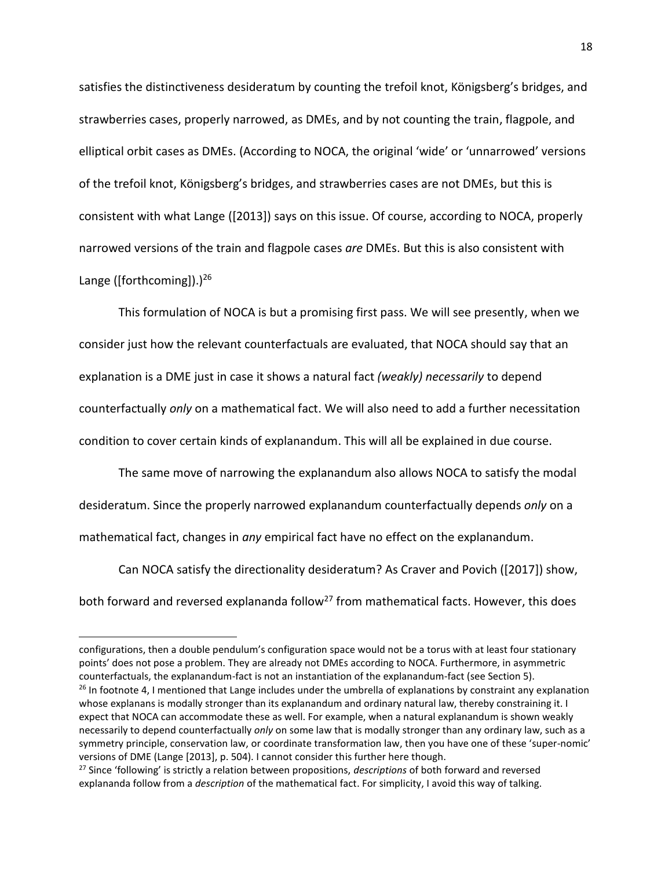satisfies the distinctiveness desideratum by counting the trefoil knot, Königsberg's bridges, and strawberries cases, properly narrowed, as DMEs, and by not counting the train, flagpole, and elliptical orbit cases as DMEs. (According to NOCA, the original 'wide' or 'unnarrowed' versions of the trefoil knot, Königsberg's bridges, and strawberries cases are not DMEs, but this is consistent with what Lange ([2013]) says on this issue. Of course, according to NOCA, properly narrowed versions of the train and flagpole cases *are* DMEs. But this is also consistent with Lange ([forthcoming]).)<sup>26</sup>

This formulation of NOCA is but a promising first pass. We will see presently, when we consider just how the relevant counterfactuals are evaluated, that NOCA should say that an explanation is a DME just in case it shows a natural fact *(weakly) necessarily* to depend counterfactually *only* on a mathematical fact. We will also need to add a further necessitation condition to cover certain kinds of explanandum. This will all be explained in due course.

The same move of narrowing the explanandum also allows NOCA to satisfy the modal desideratum. Since the properly narrowed explanandum counterfactually depends *only* on a mathematical fact, changes in *any* empirical fact have no effect on the explanandum.

Can NOCA satisfy the directionality desideratum? As Craver and Povich ([2017]) show, both forward and reversed explananda follow<sup>27</sup> from mathematical facts. However, this does

configurations, then a double pendulum's configuration space would not be a torus with at least four stationary points' does not pose a problem. They are already not DMEs according to NOCA. Furthermore, in asymmetric counterfactuals, the explanandum-fact is not an instantiation of the explanandum-fact (see Section 5). <sup>26</sup> In footnote 4, I mentioned that Lange includes under the umbrella of explanations by constraint any explanation whose explanans is modally stronger than its explanandum and ordinary natural law, thereby constraining it. I expect that NOCA can accommodate these as well. For example, when a natural explanandum is shown weakly necessarily to depend counterfactually *only* on some law that is modally stronger than any ordinary law, such as a symmetry principle, conservation law, or coordinate transformation law, then you have one of these 'super-nomic' versions of DME (Lange [2013], p. 504). I cannot consider this further here though.

<sup>27</sup> Since 'following' is strictly a relation between propositions, *descriptions* of both forward and reversed explananda follow from a *description* of the mathematical fact. For simplicity, I avoid this way of talking.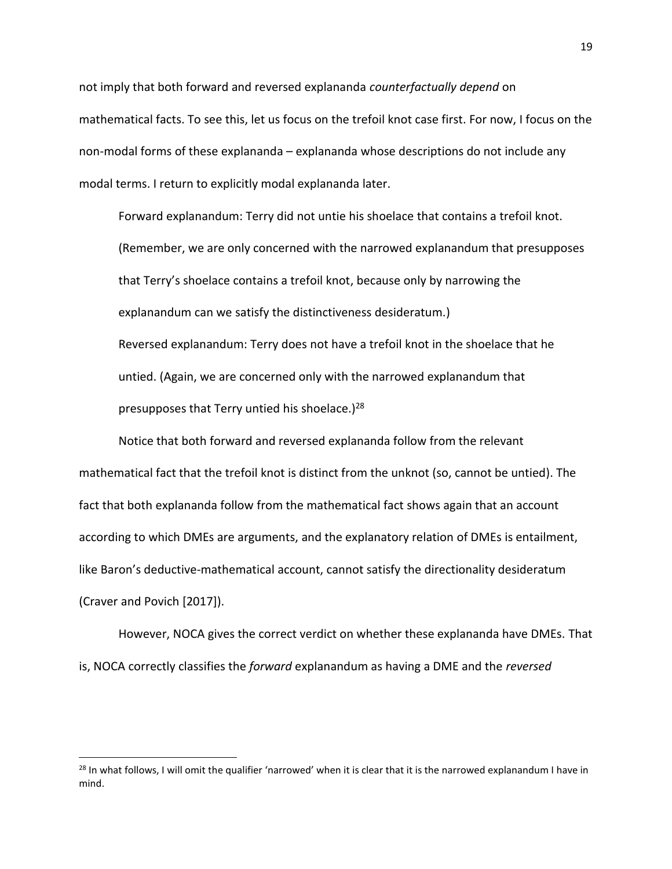not imply that both forward and reversed explananda *counterfactually depend* on mathematical facts. To see this, let us focus on the trefoil knot case first. For now, I focus on the non-modal forms of these explananda – explananda whose descriptions do not include any modal terms. I return to explicitly modal explananda later.

Forward explanandum: Terry did not untie his shoelace that contains a trefoil knot. (Remember, we are only concerned with the narrowed explanandum that presupposes that Terry's shoelace contains a trefoil knot, because only by narrowing the explanandum can we satisfy the distinctiveness desideratum.) Reversed explanandum: Terry does not have a trefoil knot in the shoelace that he untied. (Again, we are concerned only with the narrowed explanandum that presupposes that Terry untied his shoelace.)<sup>28</sup>

Notice that both forward and reversed explananda follow from the relevant mathematical fact that the trefoil knot is distinct from the unknot (so, cannot be untied). The fact that both explananda follow from the mathematical fact shows again that an account according to which DMEs are arguments, and the explanatory relation of DMEs is entailment, like Baron's deductive-mathematical account, cannot satisfy the directionality desideratum (Craver and Povich [2017]).

However, NOCA gives the correct verdict on whether these explananda have DMEs. That is, NOCA correctly classifies the *forward* explanandum as having a DME and the *reversed*

<sup>&</sup>lt;sup>28</sup> In what follows, I will omit the qualifier 'narrowed' when it is clear that it is the narrowed explanandum I have in mind.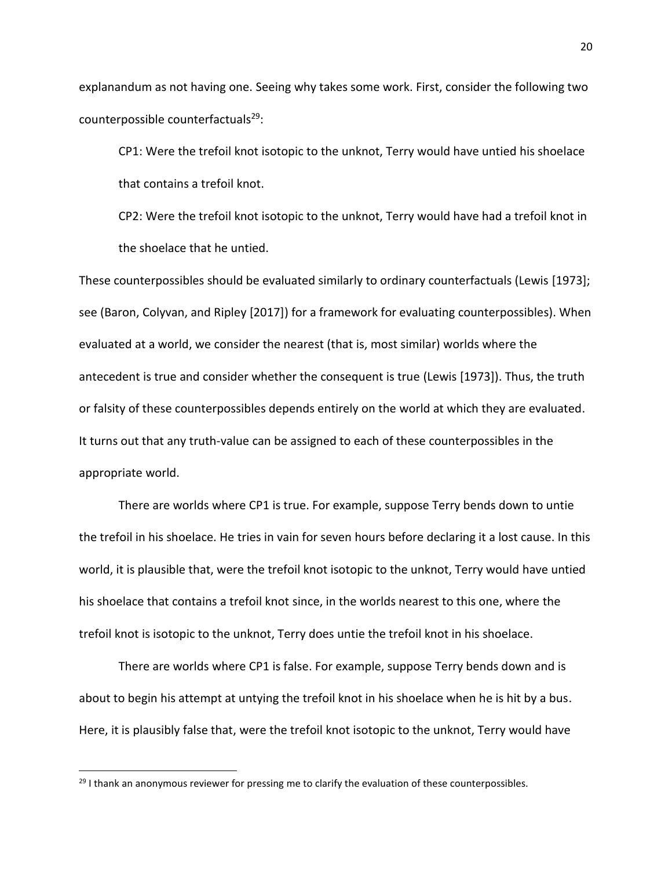explanandum as not having one. Seeing why takes some work. First, consider the following two counterpossible counterfactuals<sup>29</sup>:

CP1: Were the trefoil knot isotopic to the unknot, Terry would have untied his shoelace that contains a trefoil knot.

CP2: Were the trefoil knot isotopic to the unknot, Terry would have had a trefoil knot in the shoelace that he untied.

These counterpossibles should be evaluated similarly to ordinary counterfactuals (Lewis [1973]; see (Baron, Colyvan, and Ripley [2017]) for a framework for evaluating counterpossibles). When evaluated at a world, we consider the nearest (that is, most similar) worlds where the antecedent is true and consider whether the consequent is true (Lewis [1973]). Thus, the truth or falsity of these counterpossibles depends entirely on the world at which they are evaluated. It turns out that any truth-value can be assigned to each of these counterpossibles in the appropriate world.

There are worlds where CP1 is true. For example, suppose Terry bends down to untie the trefoil in his shoelace. He tries in vain for seven hours before declaring it a lost cause. In this world, it is plausible that, were the trefoil knot isotopic to the unknot, Terry would have untied his shoelace that contains a trefoil knot since, in the worlds nearest to this one, where the trefoil knot is isotopic to the unknot, Terry does untie the trefoil knot in his shoelace.

There are worlds where CP1 is false. For example, suppose Terry bends down and is about to begin his attempt at untying the trefoil knot in his shoelace when he is hit by a bus. Here, it is plausibly false that, were the trefoil knot isotopic to the unknot, Terry would have

<sup>&</sup>lt;sup>29</sup> I thank an anonymous reviewer for pressing me to clarify the evaluation of these counterpossibles.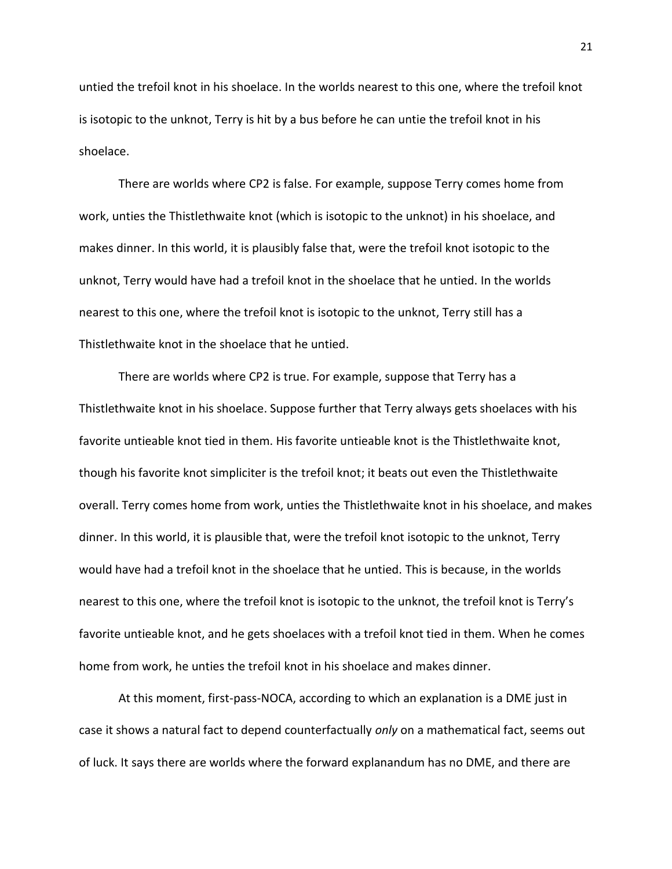untied the trefoil knot in his shoelace. In the worlds nearest to this one, where the trefoil knot is isotopic to the unknot, Terry is hit by a bus before he can untie the trefoil knot in his shoelace.

There are worlds where CP2 is false. For example, suppose Terry comes home from work, unties the Thistlethwaite knot (which is isotopic to the unknot) in his shoelace, and makes dinner. In this world, it is plausibly false that, were the trefoil knot isotopic to the unknot, Terry would have had a trefoil knot in the shoelace that he untied. In the worlds nearest to this one, where the trefoil knot is isotopic to the unknot, Terry still has a Thistlethwaite knot in the shoelace that he untied.

There are worlds where CP2 is true. For example, suppose that Terry has a Thistlethwaite knot in his shoelace. Suppose further that Terry always gets shoelaces with his favorite untieable knot tied in them. His favorite untieable knot is the Thistlethwaite knot, though his favorite knot simpliciter is the trefoil knot; it beats out even the Thistlethwaite overall. Terry comes home from work, unties the Thistlethwaite knot in his shoelace, and makes dinner. In this world, it is plausible that, were the trefoil knot isotopic to the unknot, Terry would have had a trefoil knot in the shoelace that he untied. This is because, in the worlds nearest to this one, where the trefoil knot is isotopic to the unknot, the trefoil knot is Terry's favorite untieable knot, and he gets shoelaces with a trefoil knot tied in them. When he comes home from work, he unties the trefoil knot in his shoelace and makes dinner.

At this moment, first-pass-NOCA, according to which an explanation is a DME just in case it shows a natural fact to depend counterfactually *only* on a mathematical fact, seems out of luck. It says there are worlds where the forward explanandum has no DME, and there are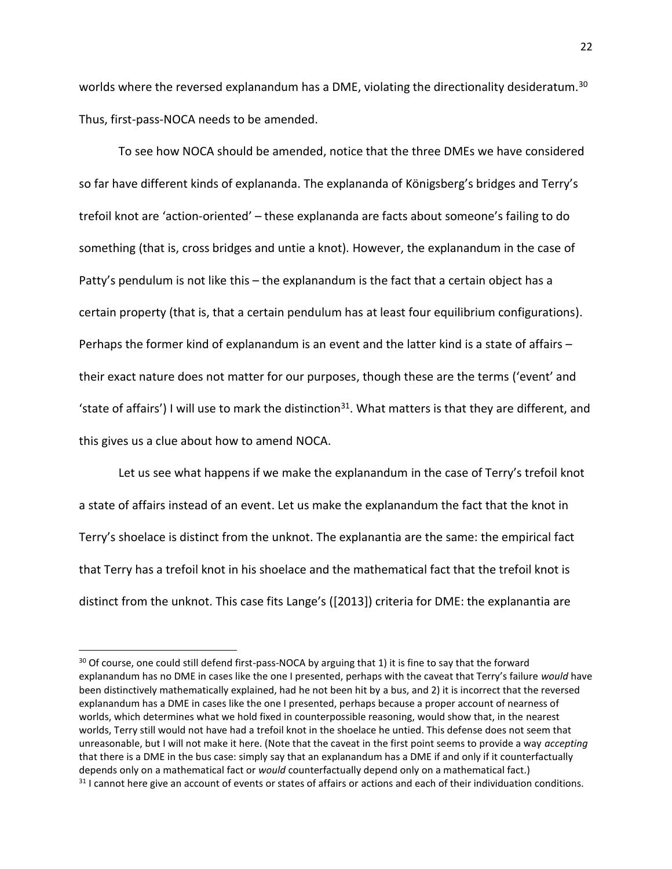worlds where the reversed explanandum has a DME, violating the directionality desideratum.<sup>30</sup> Thus, first-pass-NOCA needs to be amended.

To see how NOCA should be amended, notice that the three DMEs we have considered so far have different kinds of explananda. The explananda of Königsberg's bridges and Terry's trefoil knot are 'action-oriented' – these explananda are facts about someone's failing to do something (that is, cross bridges and untie a knot). However, the explanandum in the case of Patty's pendulum is not like this – the explanandum is the fact that a certain object has a certain property (that is, that a certain pendulum has at least four equilibrium configurations). Perhaps the former kind of explanandum is an event and the latter kind is a state of affairs – their exact nature does not matter for our purposes, though these are the terms ('event' and 'state of affairs') I will use to mark the distinction<sup>31</sup>. What matters is that they are different, and this gives us a clue about how to amend NOCA.

Let us see what happens if we make the explanandum in the case of Terry's trefoil knot a state of affairs instead of an event. Let us make the explanandum the fact that the knot in Terry's shoelace is distinct from the unknot. The explanantia are the same: the empirical fact that Terry has a trefoil knot in his shoelace and the mathematical fact that the trefoil knot is distinct from the unknot. This case fits Lange's ([2013]) criteria for DME: the explanantia are

 $\overline{a}$ 

<sup>&</sup>lt;sup>30</sup> Of course, one could still defend first-pass-NOCA by arguing that 1) it is fine to say that the forward explanandum has no DME in cases like the one I presented, perhaps with the caveat that Terry's failure *would* have been distinctively mathematically explained, had he not been hit by a bus, and 2) it is incorrect that the reversed explanandum has a DME in cases like the one I presented, perhaps because a proper account of nearness of worlds, which determines what we hold fixed in counterpossible reasoning, would show that, in the nearest worlds, Terry still would not have had a trefoil knot in the shoelace he untied. This defense does not seem that unreasonable, but I will not make it here. (Note that the caveat in the first point seems to provide a way *accepting* that there is a DME in the bus case: simply say that an explanandum has a DME if and only if it counterfactually depends only on a mathematical fact or *would* counterfactually depend only on a mathematical fact.)

<sup>&</sup>lt;sup>31</sup> I cannot here give an account of events or states of affairs or actions and each of their individuation conditions.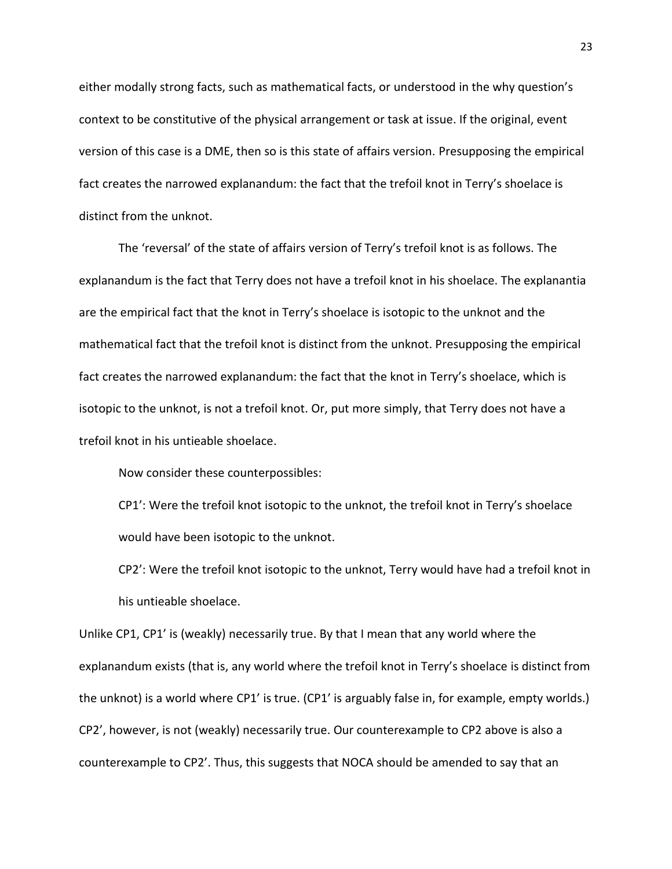either modally strong facts, such as mathematical facts, or understood in the why question's context to be constitutive of the physical arrangement or task at issue. If the original, event version of this case is a DME, then so is this state of affairs version. Presupposing the empirical fact creates the narrowed explanandum: the fact that the trefoil knot in Terry's shoelace is distinct from the unknot.

The 'reversal' of the state of affairs version of Terry's trefoil knot is as follows. The explanandum is the fact that Terry does not have a trefoil knot in his shoelace. The explanantia are the empirical fact that the knot in Terry's shoelace is isotopic to the unknot and the mathematical fact that the trefoil knot is distinct from the unknot. Presupposing the empirical fact creates the narrowed explanandum: the fact that the knot in Terry's shoelace, which is isotopic to the unknot, is not a trefoil knot. Or, put more simply, that Terry does not have a trefoil knot in his untieable shoelace.

Now consider these counterpossibles:

CP1': Were the trefoil knot isotopic to the unknot, the trefoil knot in Terry's shoelace would have been isotopic to the unknot.

CP2': Were the trefoil knot isotopic to the unknot, Terry would have had a trefoil knot in his untieable shoelace.

Unlike CP1, CP1' is (weakly) necessarily true. By that I mean that any world where the explanandum exists (that is, any world where the trefoil knot in Terry's shoelace is distinct from the unknot) is a world where CP1' is true. (CP1' is arguably false in, for example, empty worlds.) CP2', however, is not (weakly) necessarily true. Our counterexample to CP2 above is also a counterexample to CP2'. Thus, this suggests that NOCA should be amended to say that an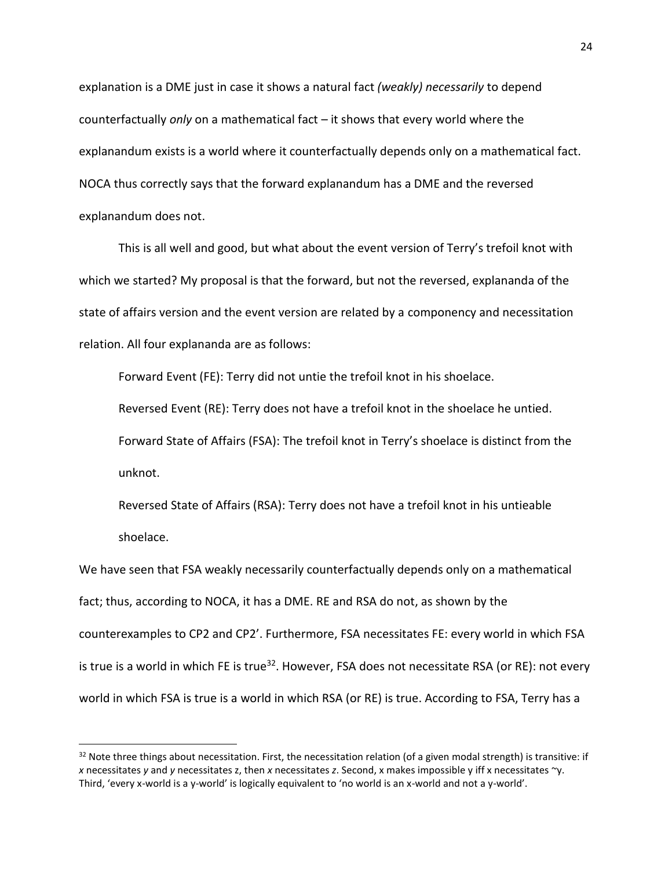explanation is a DME just in case it shows a natural fact *(weakly) necessarily* to depend counterfactually *only* on a mathematical fact – it shows that every world where the explanandum exists is a world where it counterfactually depends only on a mathematical fact. NOCA thus correctly says that the forward explanandum has a DME and the reversed explanandum does not.

This is all well and good, but what about the event version of Terry's trefoil knot with which we started? My proposal is that the forward, but not the reversed, explananda of the state of affairs version and the event version are related by a componency and necessitation relation. All four explananda are as follows:

Forward Event (FE): Terry did not untie the trefoil knot in his shoelace.

Reversed Event (RE): Terry does not have a trefoil knot in the shoelace he untied.

Forward State of Affairs (FSA): The trefoil knot in Terry's shoelace is distinct from the unknot.

Reversed State of Affairs (RSA): Terry does not have a trefoil knot in his untieable shoelace.

We have seen that FSA weakly necessarily counterfactually depends only on a mathematical fact; thus, according to NOCA, it has a DME. RE and RSA do not, as shown by the counterexamples to CP2 and CP2'. Furthermore, FSA necessitates FE: every world in which FSA is true is a world in which FE is true<sup>32</sup>. However, FSA does not necessitate RSA (or RE): not every world in which FSA is true is a world in which RSA (or RE) is true. According to FSA, Terry has a

 $\overline{a}$ 

 $32$  Note three things about necessitation. First, the necessitation relation (of a given modal strength) is transitive: if *x* necessitates *y* and *y* necessitates z, then *x* necessitates *z*. Second, x makes impossible y iff x necessitates ~y. Third, 'every x-world is a y-world' is logically equivalent to 'no world is an x-world and not a y-world'.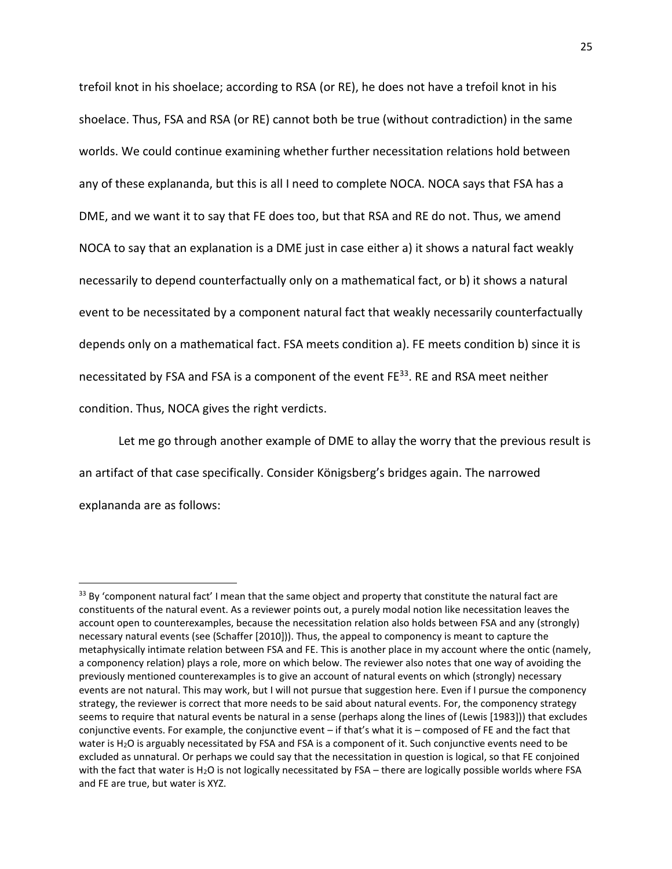trefoil knot in his shoelace; according to RSA (or RE), he does not have a trefoil knot in his shoelace. Thus, FSA and RSA (or RE) cannot both be true (without contradiction) in the same worlds. We could continue examining whether further necessitation relations hold between any of these explananda, but this is all I need to complete NOCA. NOCA says that FSA has a DME, and we want it to say that FE does too, but that RSA and RE do not. Thus, we amend NOCA to say that an explanation is a DME just in case either a) it shows a natural fact weakly necessarily to depend counterfactually only on a mathematical fact, or b) it shows a natural event to be necessitated by a component natural fact that weakly necessarily counterfactually depends only on a mathematical fact. FSA meets condition a). FE meets condition b) since it is necessitated by FSA and FSA is a component of the event FE<sup>33</sup>. RE and RSA meet neither condition. Thus, NOCA gives the right verdicts.

Let me go through another example of DME to allay the worry that the previous result is an artifact of that case specifically. Consider Königsberg's bridges again. The narrowed explananda are as follows:

 $\overline{a}$ 

<sup>&</sup>lt;sup>33</sup> By 'component natural fact' I mean that the same object and property that constitute the natural fact are constituents of the natural event. As a reviewer points out, a purely modal notion like necessitation leaves the account open to counterexamples, because the necessitation relation also holds between FSA and any (strongly) necessary natural events (see (Schaffer [2010])). Thus, the appeal to componency is meant to capture the metaphysically intimate relation between FSA and FE. This is another place in my account where the ontic (namely, a componency relation) plays a role, more on which below. The reviewer also notes that one way of avoiding the previously mentioned counterexamples is to give an account of natural events on which (strongly) necessary events are not natural. This may work, but I will not pursue that suggestion here. Even if I pursue the componency strategy, the reviewer is correct that more needs to be said about natural events. For, the componency strategy seems to require that natural events be natural in a sense (perhaps along the lines of (Lewis [1983])) that excludes conjunctive events. For example, the conjunctive event – if that's what it is – composed of FE and the fact that water is H2O is arguably necessitated by FSA and FSA is a component of it. Such conjunctive events need to be excluded as unnatural. Or perhaps we could say that the necessitation in question is logical, so that FE conjoined with the fact that water is H<sub>2</sub>O is not logically necessitated by FSA – there are logically possible worlds where FSA and FE are true, but water is XYZ.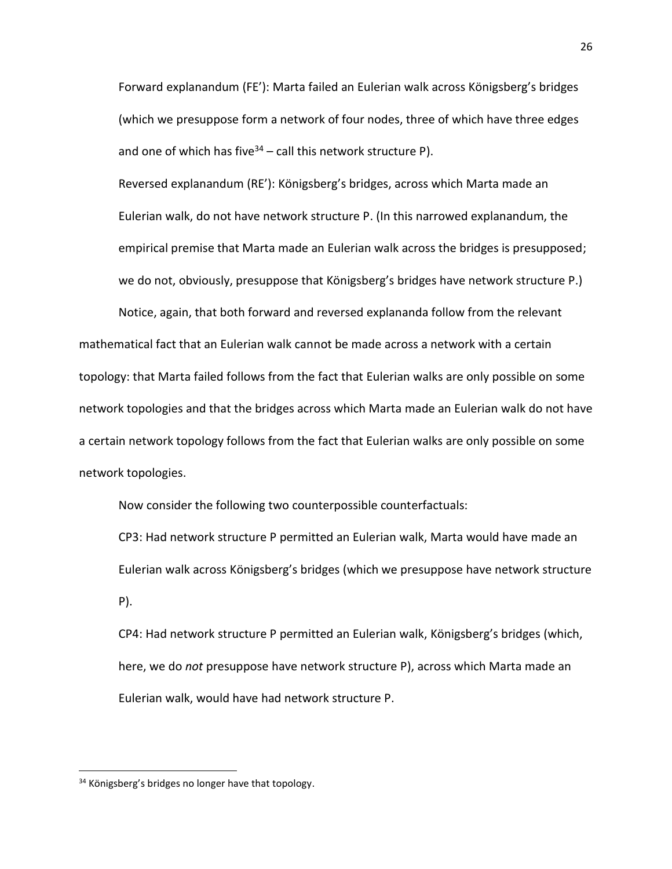Forward explanandum (FE'): Marta failed an Eulerian walk across Königsberg's bridges (which we presuppose form a network of four nodes, three of which have three edges and one of which has five  $34 -$  call this network structure P).

Reversed explanandum (RE'): Königsberg's bridges, across which Marta made an Eulerian walk, do not have network structure P. (In this narrowed explanandum, the empirical premise that Marta made an Eulerian walk across the bridges is presupposed; we do not, obviously, presuppose that Königsberg's bridges have network structure P.)

Notice, again, that both forward and reversed explananda follow from the relevant mathematical fact that an Eulerian walk cannot be made across a network with a certain topology: that Marta failed follows from the fact that Eulerian walks are only possible on some network topologies and that the bridges across which Marta made an Eulerian walk do not have a certain network topology follows from the fact that Eulerian walks are only possible on some network topologies.

Now consider the following two counterpossible counterfactuals:

CP3: Had network structure P permitted an Eulerian walk, Marta would have made an Eulerian walk across Königsberg's bridges (which we presuppose have network structure P).

CP4: Had network structure P permitted an Eulerian walk, Königsberg's bridges (which, here, we do *not* presuppose have network structure P), across which Marta made an Eulerian walk, would have had network structure P.

<sup>&</sup>lt;sup>34</sup> Königsberg's bridges no longer have that topology.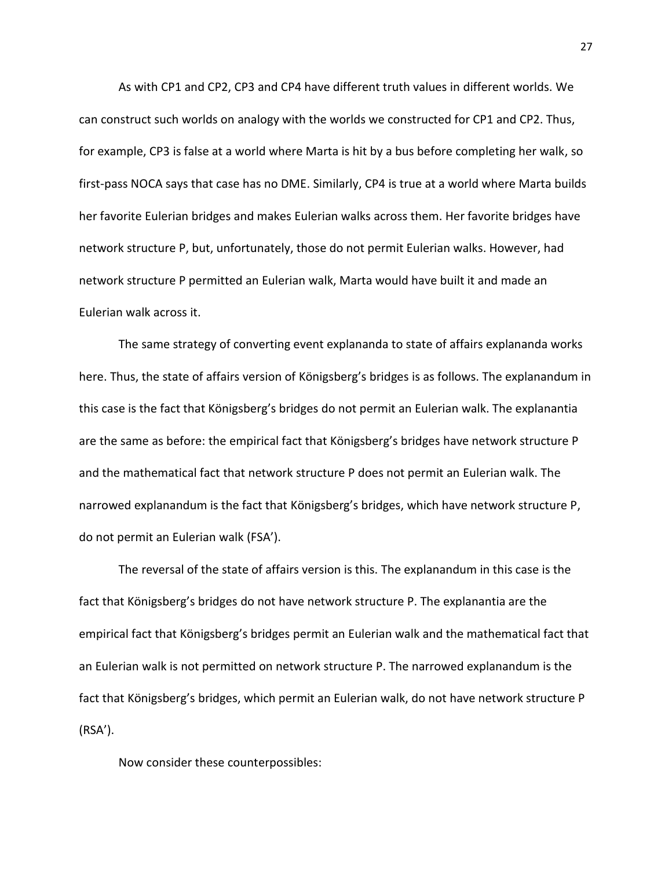As with CP1 and CP2, CP3 and CP4 have different truth values in different worlds. We can construct such worlds on analogy with the worlds we constructed for CP1 and CP2. Thus, for example, CP3 is false at a world where Marta is hit by a bus before completing her walk, so first-pass NOCA says that case has no DME. Similarly, CP4 is true at a world where Marta builds her favorite Eulerian bridges and makes Eulerian walks across them. Her favorite bridges have network structure P, but, unfortunately, those do not permit Eulerian walks. However, had network structure P permitted an Eulerian walk, Marta would have built it and made an Eulerian walk across it.

The same strategy of converting event explananda to state of affairs explananda works here. Thus, the state of affairs version of Königsberg's bridges is as follows. The explanandum in this case is the fact that Königsberg's bridges do not permit an Eulerian walk. The explanantia are the same as before: the empirical fact that Königsberg's bridges have network structure P and the mathematical fact that network structure P does not permit an Eulerian walk. The narrowed explanandum is the fact that Königsberg's bridges, which have network structure P, do not permit an Eulerian walk (FSA').

The reversal of the state of affairs version is this. The explanandum in this case is the fact that Königsberg's bridges do not have network structure P. The explanantia are the empirical fact that Königsberg's bridges permit an Eulerian walk and the mathematical fact that an Eulerian walk is not permitted on network structure P. The narrowed explanandum is the fact that Königsberg's bridges, which permit an Eulerian walk, do not have network structure P (RSA').

Now consider these counterpossibles: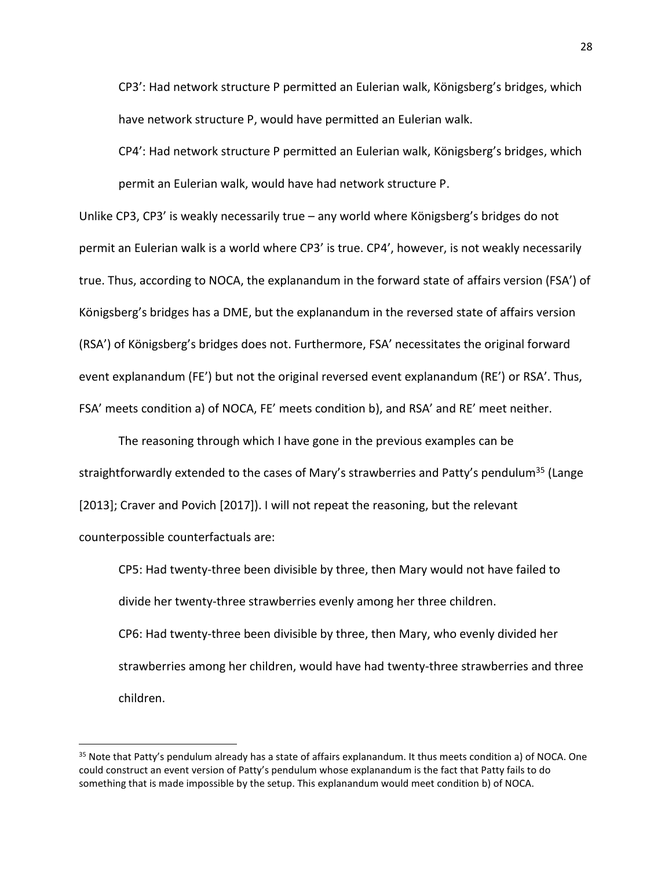CP3': Had network structure P permitted an Eulerian walk, Königsberg's bridges, which have network structure P, would have permitted an Eulerian walk.

CP4': Had network structure P permitted an Eulerian walk, Königsberg's bridges, which permit an Eulerian walk, would have had network structure P.

Unlike CP3, CP3' is weakly necessarily true – any world where Königsberg's bridges do not permit an Eulerian walk is a world where CP3' is true. CP4', however, is not weakly necessarily true. Thus, according to NOCA, the explanandum in the forward state of affairs version (FSA') of Königsberg's bridges has a DME, but the explanandum in the reversed state of affairs version (RSA') of Königsberg's bridges does not. Furthermore, FSA' necessitates the original forward event explanandum (FE') but not the original reversed event explanandum (RE') or RSA'. Thus, FSA' meets condition a) of NOCA, FE' meets condition b), and RSA' and RE' meet neither.

The reasoning through which I have gone in the previous examples can be straightforwardly extended to the cases of Mary's strawberries and Patty's pendulum<sup>35</sup> (Lange [2013]; Craver and Povich [2017]). I will not repeat the reasoning, but the relevant counterpossible counterfactuals are:

CP5: Had twenty-three been divisible by three, then Mary would not have failed to divide her twenty-three strawberries evenly among her three children. CP6: Had twenty-three been divisible by three, then Mary, who evenly divided her strawberries among her children, would have had twenty-three strawberries and three children.

 $\overline{a}$ 

<sup>&</sup>lt;sup>35</sup> Note that Patty's pendulum already has a state of affairs explanandum. It thus meets condition a) of NOCA. One could construct an event version of Patty's pendulum whose explanandum is the fact that Patty fails to do something that is made impossible by the setup. This explanandum would meet condition b) of NOCA.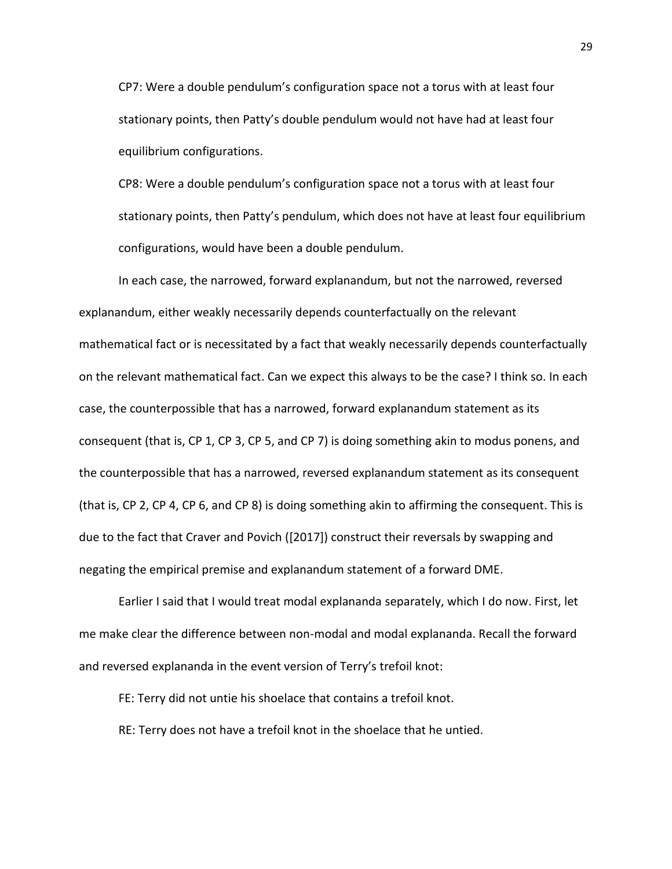CP7: Were a double pendulum's configuration space not a torus with at least four stationary points, then Patty's double pendulum would not have had at least four equilibrium configurations.

CP8: Were a double pendulum's configuration space not a torus with at least four stationary points, then Patty's pendulum, which does not have at least four equilibrium configurations, would have been a double pendulum.

In each case, the narrowed, forward explanandum, but not the narrowed, reversed explanandum, either weakly necessarily depends counterfactually on the relevant mathematical fact or is necessitated by a fact that weakly necessarily depends counterfactually on the relevant mathematical fact. Can we expect this always to be the case? I think so. In each case, the counterpossible that has a narrowed, forward explanandum statement as its consequent (that is, CP 1, CP 3, CP 5, and CP 7) is doing something akin to modus ponens, and the counterpossible that has a narrowed, reversed explanandum statement as its consequent (that is, CP 2, CP 4, CP 6, and CP 8) is doing something akin to affirming the consequent. This is due to the fact that Craver and Povich ([2017]) construct their reversals by swapping and negating the empirical premise and explanandum statement of a forward DME.

Earlier I said that I would treat modal explananda separately, which I do now. First, let me make clear the difference between non-modal and modal explananda. Recall the forward and reversed explananda in the event version of Terry's trefoil knot:

FE: Terry did not untie his shoelace that contains a trefoil knot.

RE: Terry does not have a trefoil knot in the shoelace that he untied.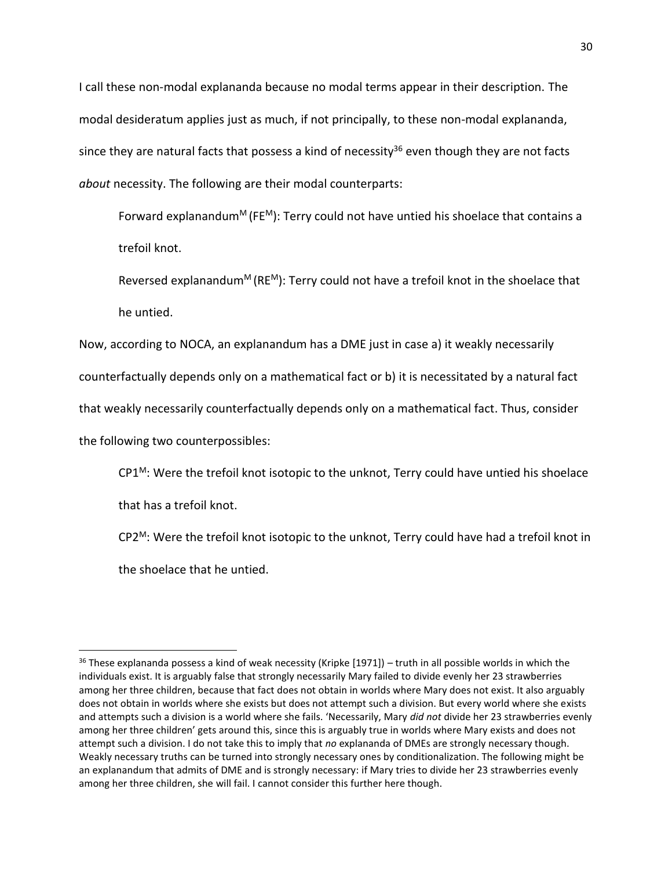I call these non-modal explananda because no modal terms appear in their description. The modal desideratum applies just as much, if not principally, to these non-modal explananda, since they are natural facts that possess a kind of necessity<sup>36</sup> even though they are not facts *about* necessity. The following are their modal counterparts:

Forward explanandum<sup>M</sup> (FE<sup>M</sup>): Terry could not have untied his shoelace that contains a trefoil knot.

Reversed explanandum<sup>M</sup> (RE<sup>M</sup>): Terry could not have a trefoil knot in the shoelace that he untied.

Now, according to NOCA, an explanandum has a DME just in case a) it weakly necessarily counterfactually depends only on a mathematical fact or b) it is necessitated by a natural fact that weakly necessarily counterfactually depends only on a mathematical fact. Thus, consider the following two counterpossibles:

 $CP1<sup>M</sup>$ : Were the trefoil knot isotopic to the unknot, Terry could have untied his shoelace

that has a trefoil knot.

 $\overline{a}$ 

CP2<sup>M</sup>: Were the trefoil knot isotopic to the unknot, Terry could have had a trefoil knot in the shoelace that he untied.

 $36$  These explananda possess a kind of weak necessity (Kripke [1971]) – truth in all possible worlds in which the individuals exist. It is arguably false that strongly necessarily Mary failed to divide evenly her 23 strawberries among her three children, because that fact does not obtain in worlds where Mary does not exist. It also arguably does not obtain in worlds where she exists but does not attempt such a division. But every world where she exists and attempts such a division is a world where she fails. 'Necessarily, Mary *did not* divide her 23 strawberries evenly among her three children' gets around this, since this is arguably true in worlds where Mary exists and does not attempt such a division. I do not take this to imply that *no* explananda of DMEs are strongly necessary though. Weakly necessary truths can be turned into strongly necessary ones by conditionalization. The following might be an explanandum that admits of DME and is strongly necessary: if Mary tries to divide her 23 strawberries evenly among her three children, she will fail. I cannot consider this further here though.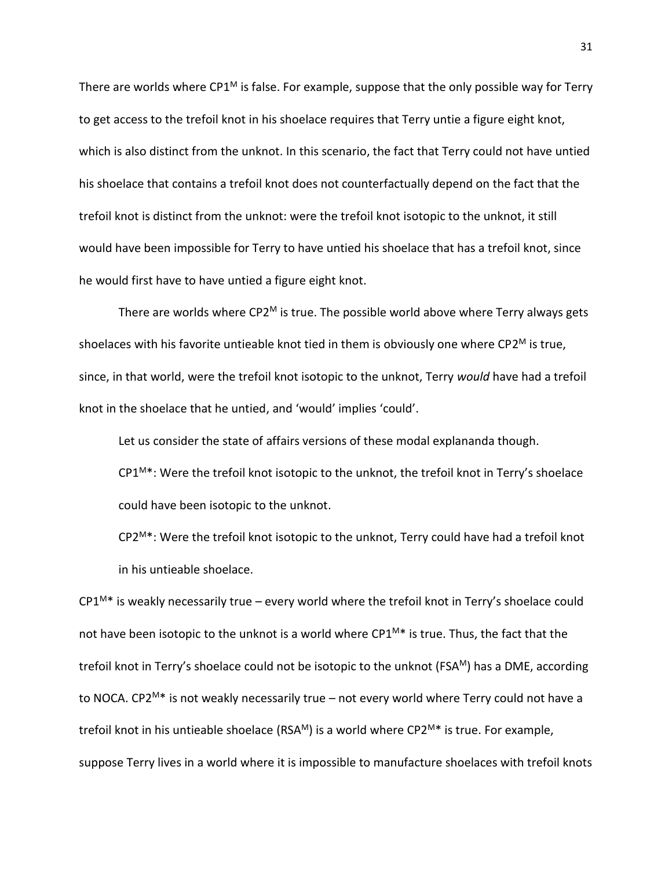There are worlds where  $CP1^M$  is false. For example, suppose that the only possible way for Terry to get access to the trefoil knot in his shoelace requires that Terry untie a figure eight knot, which is also distinct from the unknot. In this scenario, the fact that Terry could not have untied his shoelace that contains a trefoil knot does not counterfactually depend on the fact that the trefoil knot is distinct from the unknot: were the trefoil knot isotopic to the unknot, it still would have been impossible for Terry to have untied his shoelace that has a trefoil knot, since he would first have to have untied a figure eight knot.

There are worlds where  $\text{CP2}^{\text{M}}$  is true. The possible world above where Terry always gets shoelaces with his favorite untieable knot tied in them is obviously one where CP2<sup>M</sup> is true, since, in that world, were the trefoil knot isotopic to the unknot, Terry *would* have had a trefoil knot in the shoelace that he untied, and 'would' implies 'could'.

Let us consider the state of affairs versions of these modal explananda though.

 $CP1^{M*}$ : Were the trefoil knot isotopic to the unknot, the trefoil knot in Terry's shoelace could have been isotopic to the unknot.

 $CP2^{M*}$ : Were the trefoil knot isotopic to the unknot, Terry could have had a trefoil knot in his untieable shoelace.

 $CP1^{M*}$  is weakly necessarily true – every world where the trefoil knot in Terry's shoelace could not have been isotopic to the unknot is a world where  $CP1^{M*}$  is true. Thus, the fact that the trefoil knot in Terry's shoelace could not be isotopic to the unknot (FSAM) has a DME, according to NOCA. CP2<sup>M\*</sup> is not weakly necessarily true – not every world where Terry could not have a trefoil knot in his untieable shoelace (RSA<sup>M</sup>) is a world where CP2<sup>M\*</sup> is true. For example, suppose Terry lives in a world where it is impossible to manufacture shoelaces with trefoil knots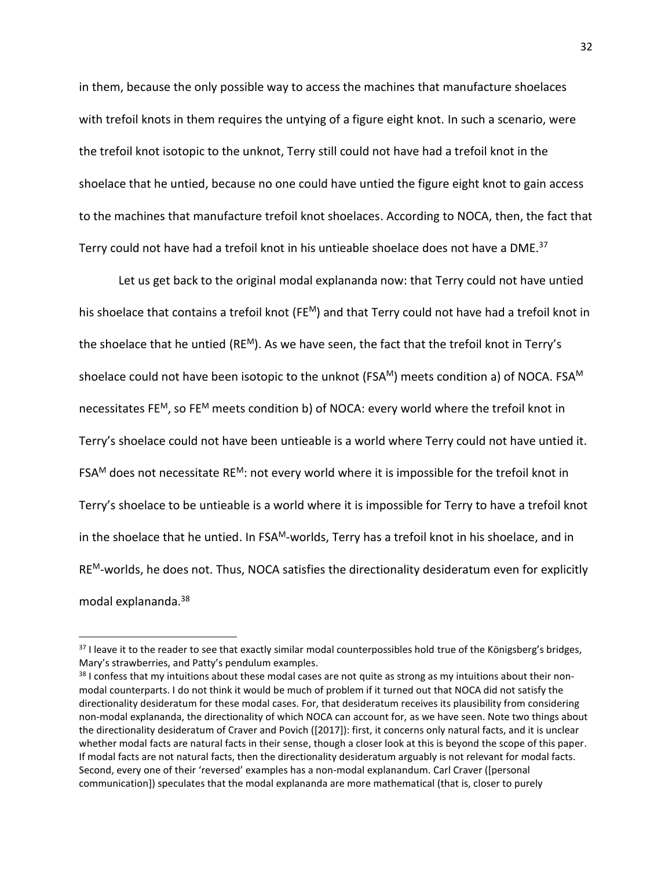in them, because the only possible way to access the machines that manufacture shoelaces with trefoil knots in them requires the untying of a figure eight knot. In such a scenario, were the trefoil knot isotopic to the unknot, Terry still could not have had a trefoil knot in the shoelace that he untied, because no one could have untied the figure eight knot to gain access to the machines that manufacture trefoil knot shoelaces. According to NOCA, then, the fact that Terry could not have had a trefoil knot in his untieable shoelace does not have a DME.<sup>37</sup>

Let us get back to the original modal explananda now: that Terry could not have untied his shoelace that contains a trefoil knot (FE<sup>M</sup>) and that Terry could not have had a trefoil knot in the shoelace that he untied (RE<sup>M</sup>). As we have seen, the fact that the trefoil knot in Terry's shoelace could not have been isotopic to the unknot (FSAM) meets condition a) of NOCA. FSAM necessitates FE<sup>M</sup>, so FE<sup>M</sup> meets condition b) of NOCA: every world where the trefoil knot in Terry's shoelace could not have been untieable is a world where Terry could not have untied it. FSA<sup>M</sup> does not necessitate RE<sup>M</sup>: not every world where it is impossible for the trefoil knot in Terry's shoelace to be untieable is a world where it is impossible for Terry to have a trefoil knot in the shoelace that he untied. In FSA<sup>M</sup>-worlds, Terry has a trefoil knot in his shoelace, and in  $RE<sup>M</sup>$ -worlds, he does not. Thus, NOCA satisfies the directionality desideratum even for explicitly modal explananda.<sup>38</sup>

<sup>37</sup> I leave it to the reader to see that exactly similar modal counterpossibles hold true of the Königsberg's bridges, Mary's strawberries, and Patty's pendulum examples.

 $38$  I confess that my intuitions about these modal cases are not quite as strong as my intuitions about their nonmodal counterparts. I do not think it would be much of problem if it turned out that NOCA did not satisfy the directionality desideratum for these modal cases. For, that desideratum receives its plausibility from considering non-modal explananda, the directionality of which NOCA can account for, as we have seen. Note two things about the directionality desideratum of Craver and Povich ([2017]): first, it concerns only natural facts, and it is unclear whether modal facts are natural facts in their sense, though a closer look at this is beyond the scope of this paper. If modal facts are not natural facts, then the directionality desideratum arguably is not relevant for modal facts. Second, every one of their 'reversed' examples has a non-modal explanandum. Carl Craver ([personal communication]) speculates that the modal explananda are more mathematical (that is, closer to purely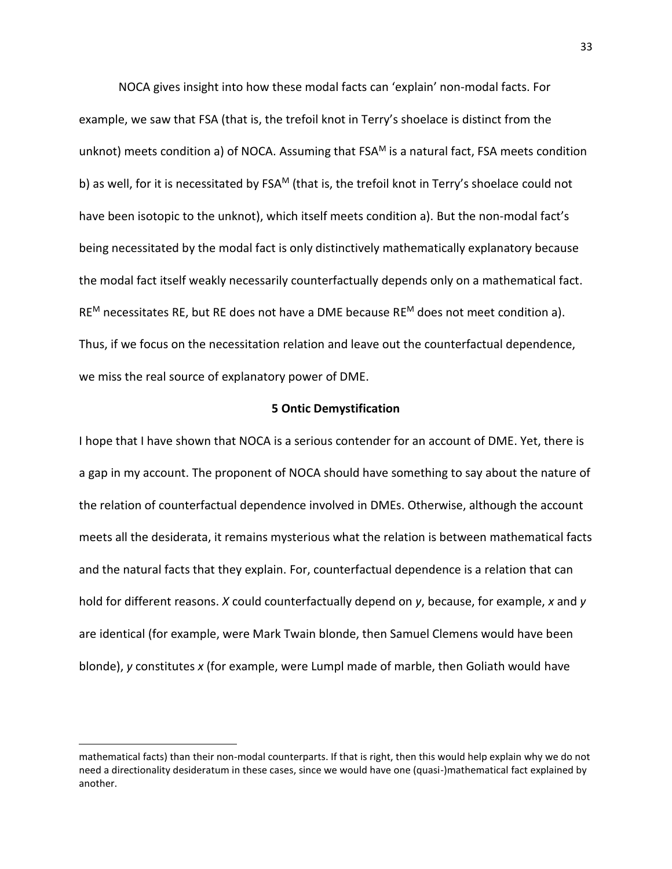NOCA gives insight into how these modal facts can 'explain' non-modal facts. For example, we saw that FSA (that is, the trefoil knot in Terry's shoelace is distinct from the unknot) meets condition a) of NOCA. Assuming that  $FSA<sup>M</sup>$  is a natural fact, FSA meets condition b) as well, for it is necessitated by FSA<sup>M</sup> (that is, the trefoil knot in Terry's shoelace could not have been isotopic to the unknot), which itself meets condition a). But the non-modal fact's being necessitated by the modal fact is only distinctively mathematically explanatory because the modal fact itself weakly necessarily counterfactually depends only on a mathematical fact. RE<sup>M</sup> necessitates RE, but RE does not have a DME because RE<sup>M</sup> does not meet condition a). Thus, if we focus on the necessitation relation and leave out the counterfactual dependence, we miss the real source of explanatory power of DME.

#### **5 Ontic Demystification**

I hope that I have shown that NOCA is a serious contender for an account of DME. Yet, there is a gap in my account. The proponent of NOCA should have something to say about the nature of the relation of counterfactual dependence involved in DMEs. Otherwise, although the account meets all the desiderata, it remains mysterious what the relation is between mathematical facts and the natural facts that they explain. For, counterfactual dependence is a relation that can hold for different reasons. *X* could counterfactually depend on *y*, because, for example, *x* and *y* are identical (for example, were Mark Twain blonde, then Samuel Clemens would have been blonde), *y* constitutes *x* (for example, were Lumpl made of marble, then Goliath would have

 $\overline{a}$ 

mathematical facts) than their non-modal counterparts. If that is right, then this would help explain why we do not need a directionality desideratum in these cases, since we would have one (quasi-)mathematical fact explained by another.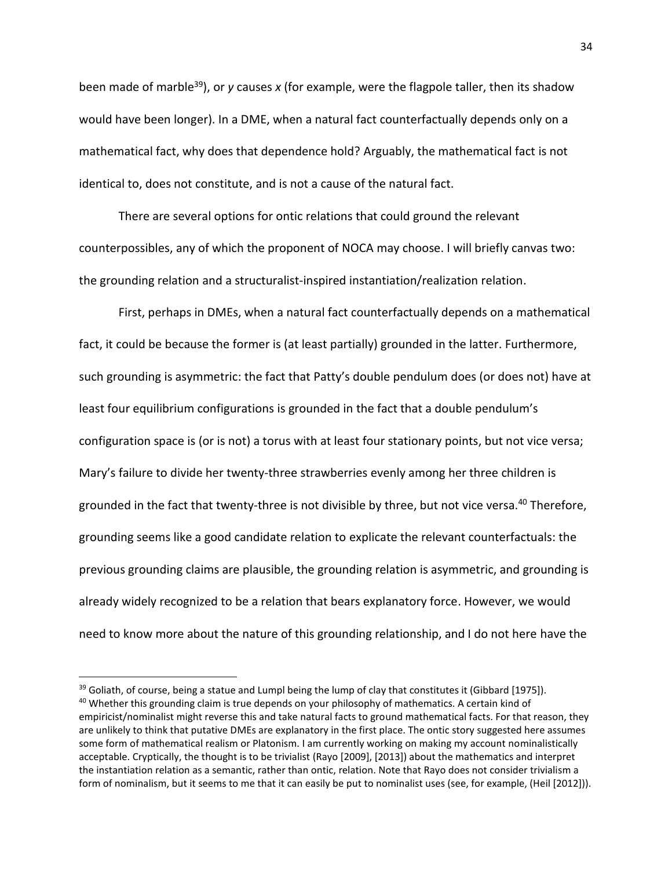been made of marble<sup>39</sup>), or *y* causes *x* (for example, were the flagpole taller, then its shadow would have been longer). In a DME, when a natural fact counterfactually depends only on a mathematical fact, why does that dependence hold? Arguably, the mathematical fact is not identical to, does not constitute, and is not a cause of the natural fact.

There are several options for ontic relations that could ground the relevant counterpossibles, any of which the proponent of NOCA may choose. I will briefly canvas two: the grounding relation and a structuralist-inspired instantiation/realization relation.

First, perhaps in DMEs, when a natural fact counterfactually depends on a mathematical fact, it could be because the former is (at least partially) grounded in the latter. Furthermore, such grounding is asymmetric: the fact that Patty's double pendulum does (or does not) have at least four equilibrium configurations is grounded in the fact that a double pendulum's configuration space is (or is not) a torus with at least four stationary points, but not vice versa; Mary's failure to divide her twenty-three strawberries evenly among her three children is grounded in the fact that twenty-three is not divisible by three, but not vice versa.<sup>40</sup> Therefore, grounding seems like a good candidate relation to explicate the relevant counterfactuals: the previous grounding claims are plausible, the grounding relation is asymmetric, and grounding is already widely recognized to be a relation that bears explanatory force. However, we would need to know more about the nature of this grounding relationship, and I do not here have the

 $\overline{a}$ 

 $39$  Goliath, of course, being a statue and Lumpl being the lump of clay that constitutes it (Gibbard [1975]). <sup>40</sup> Whether this grounding claim is true depends on your philosophy of mathematics. A certain kind of empiricist/nominalist might reverse this and take natural facts to ground mathematical facts. For that reason, they are unlikely to think that putative DMEs are explanatory in the first place. The ontic story suggested here assumes some form of mathematical realism or Platonism. I am currently working on making my account nominalistically acceptable. Cryptically, the thought is to be trivialist (Rayo [2009], [2013]) about the mathematics and interpret the instantiation relation as a semantic, rather than ontic, relation. Note that Rayo does not consider trivialism a form of nominalism, but it seems to me that it can easily be put to nominalist uses (see, for example, (Heil [2012])).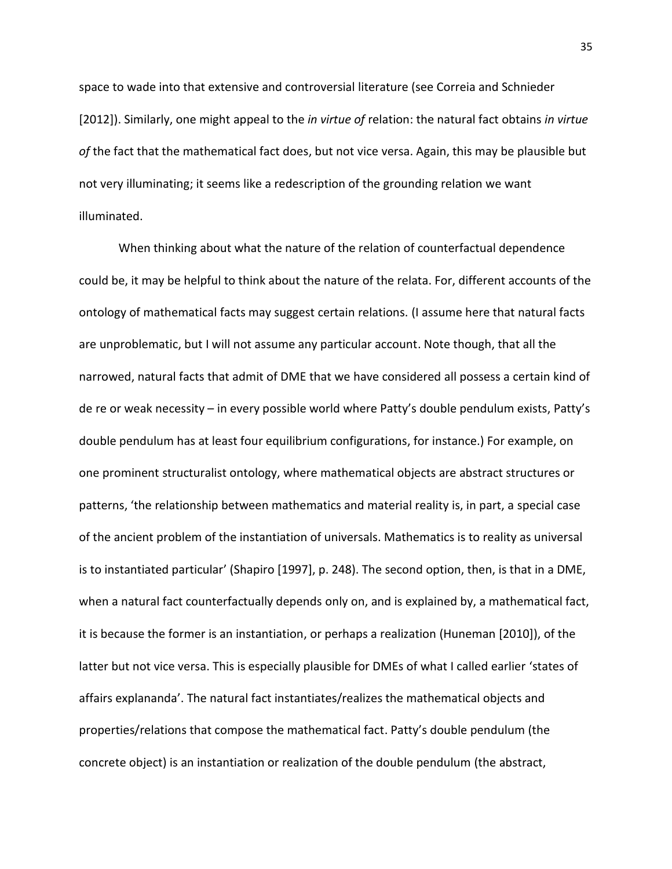space to wade into that extensive and controversial literature (see Correia and Schnieder [2012]). Similarly, one might appeal to the *in virtue of* relation: the natural fact obtains *in virtue of* the fact that the mathematical fact does, but not vice versa. Again, this may be plausible but not very illuminating; it seems like a redescription of the grounding relation we want illuminated.

When thinking about what the nature of the relation of counterfactual dependence could be, it may be helpful to think about the nature of the relata. For, different accounts of the ontology of mathematical facts may suggest certain relations. (I assume here that natural facts are unproblematic, but I will not assume any particular account. Note though, that all the narrowed, natural facts that admit of DME that we have considered all possess a certain kind of de re or weak necessity – in every possible world where Patty's double pendulum exists, Patty's double pendulum has at least four equilibrium configurations, for instance.) For example, on one prominent structuralist ontology, where mathematical objects are abstract structures or patterns, 'the relationship between mathematics and material reality is, in part, a special case of the ancient problem of the instantiation of universals. Mathematics is to reality as universal is to instantiated particular' (Shapiro [1997], p. 248). The second option, then, is that in a DME, when a natural fact counterfactually depends only on, and is explained by, a mathematical fact, it is because the former is an instantiation, or perhaps a realization (Huneman [2010]), of the latter but not vice versa. This is especially plausible for DMEs of what I called earlier 'states of affairs explananda'. The natural fact instantiates/realizes the mathematical objects and properties/relations that compose the mathematical fact. Patty's double pendulum (the concrete object) is an instantiation or realization of the double pendulum (the abstract,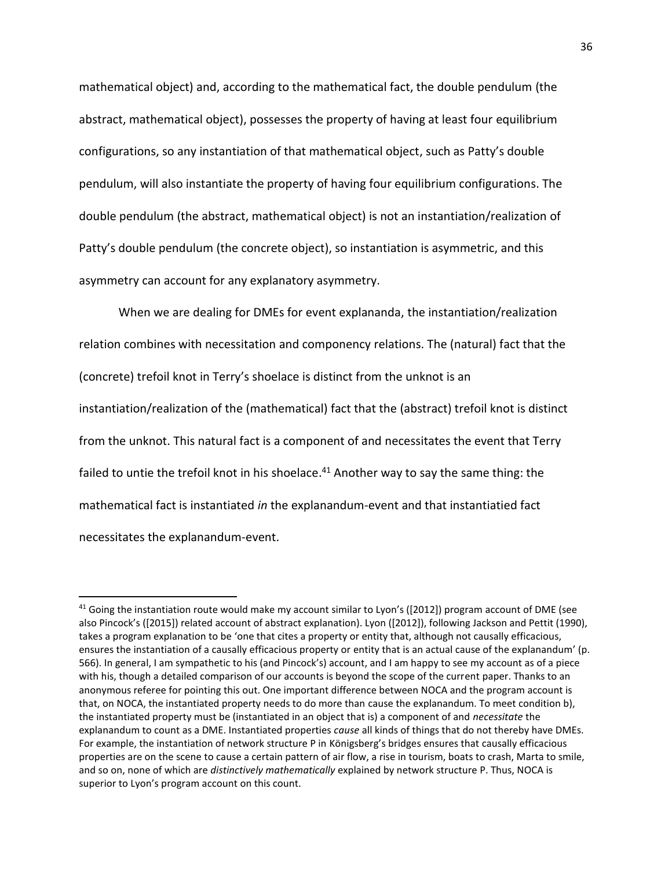mathematical object) and, according to the mathematical fact, the double pendulum (the abstract, mathematical object), possesses the property of having at least four equilibrium configurations, so any instantiation of that mathematical object, such as Patty's double pendulum, will also instantiate the property of having four equilibrium configurations. The double pendulum (the abstract, mathematical object) is not an instantiation/realization of Patty's double pendulum (the concrete object), so instantiation is asymmetric, and this asymmetry can account for any explanatory asymmetry.

When we are dealing for DMEs for event explananda, the instantiation/realization relation combines with necessitation and componency relations. The (natural) fact that the (concrete) trefoil knot in Terry's shoelace is distinct from the unknot is an instantiation/realization of the (mathematical) fact that the (abstract) trefoil knot is distinct from the unknot. This natural fact is a component of and necessitates the event that Terry failed to untie the trefoil knot in his shoelace.<sup>41</sup> Another way to say the same thing: the mathematical fact is instantiated *in* the explanandum-event and that instantiatied fact necessitates the explanandum-event.

<sup>&</sup>lt;sup>41</sup> Going the instantiation route would make my account similar to Lyon's ([2012]) program account of DME (see also Pincock's ([2015]) related account of abstract explanation). Lyon ([2012]), following Jackson and Pettit (1990), takes a program explanation to be 'one that cites a property or entity that, although not causally efficacious, ensures the instantiation of a causally efficacious property or entity that is an actual cause of the explanandum' (p. 566). In general, I am sympathetic to his (and Pincock's) account, and I am happy to see my account as of a piece with his, though a detailed comparison of our accounts is beyond the scope of the current paper. Thanks to an anonymous referee for pointing this out. One important difference between NOCA and the program account is that, on NOCA, the instantiated property needs to do more than cause the explanandum. To meet condition b), the instantiated property must be (instantiated in an object that is) a component of and *necessitate* the explanandum to count as a DME. Instantiated properties *cause* all kinds of things that do not thereby have DMEs. For example, the instantiation of network structure P in Königsberg's bridges ensures that causally efficacious properties are on the scene to cause a certain pattern of air flow, a rise in tourism, boats to crash, Marta to smile, and so on, none of which are *distinctively mathematically* explained by network structure P. Thus, NOCA is superior to Lyon's program account on this count.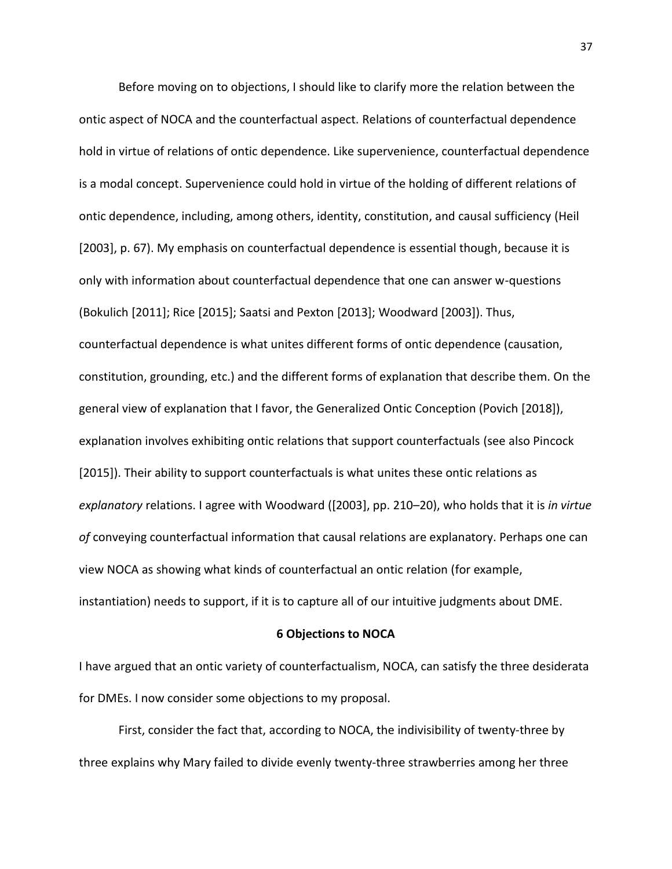Before moving on to objections, I should like to clarify more the relation between the ontic aspect of NOCA and the counterfactual aspect. Relations of counterfactual dependence hold in virtue of relations of ontic dependence. Like supervenience, counterfactual dependence is a modal concept. Supervenience could hold in virtue of the holding of different relations of ontic dependence, including, among others, identity, constitution, and causal sufficiency (Heil [2003], p. 67). My emphasis on counterfactual dependence is essential though, because it is only with information about counterfactual dependence that one can answer w-questions (Bokulich [2011]; Rice [2015]; Saatsi and Pexton [2013]; Woodward [2003]). Thus, counterfactual dependence is what unites different forms of ontic dependence (causation, constitution, grounding, etc.) and the different forms of explanation that describe them. On the general view of explanation that I favor, the Generalized Ontic Conception (Povich [2018]), explanation involves exhibiting ontic relations that support counterfactuals (see also Pincock [2015]). Their ability to support counterfactuals is what unites these ontic relations as *explanatory* relations. I agree with Woodward ([2003], pp. 210–20), who holds that it is *in virtue of* conveying counterfactual information that causal relations are explanatory. Perhaps one can view NOCA as showing what kinds of counterfactual an ontic relation (for example, instantiation) needs to support, if it is to capture all of our intuitive judgments about DME.

#### **6 Objections to NOCA**

I have argued that an ontic variety of counterfactualism, NOCA, can satisfy the three desiderata for DMEs. I now consider some objections to my proposal.

First, consider the fact that, according to NOCA, the indivisibility of twenty-three by three explains why Mary failed to divide evenly twenty-three strawberries among her three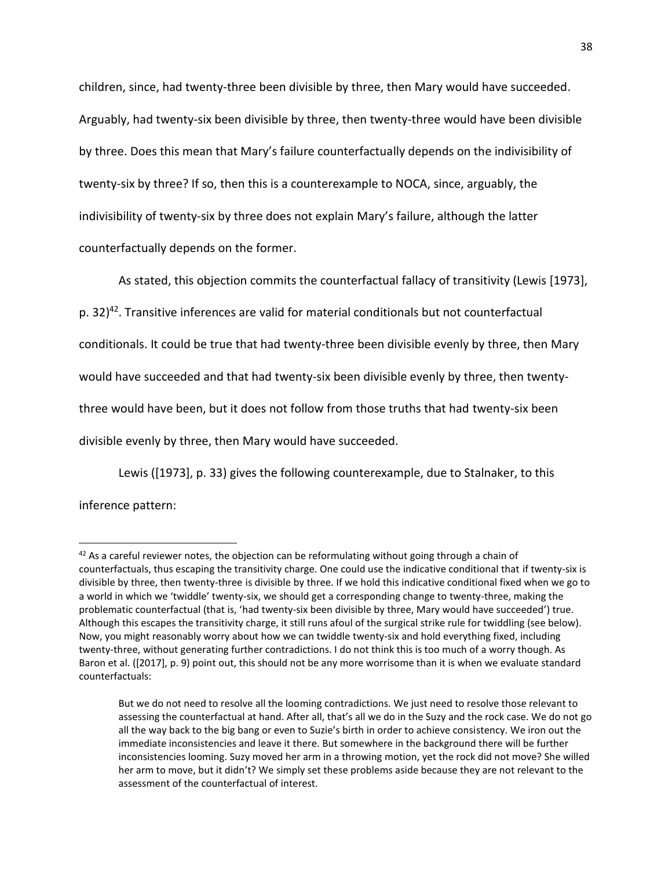children, since, had twenty-three been divisible by three, then Mary would have succeeded. Arguably, had twenty-six been divisible by three, then twenty-three would have been divisible by three. Does this mean that Mary's failure counterfactually depends on the indivisibility of twenty-six by three? If so, then this is a counterexample to NOCA, since, arguably, the indivisibility of twenty-six by three does not explain Mary's failure, although the latter counterfactually depends on the former.

As stated, this objection commits the counterfactual fallacy of transitivity (Lewis [1973], p. 32)<sup>42</sup>. Transitive inferences are valid for material conditionals but not counterfactual conditionals. It could be true that had twenty-three been divisible evenly by three, then Mary would have succeeded and that had twenty-six been divisible evenly by three, then twentythree would have been, but it does not follow from those truths that had twenty-six been divisible evenly by three, then Mary would have succeeded.

Lewis ([1973], p. 33) gives the following counterexample, due to Stalnaker, to this inference pattern:

 $42$  As a careful reviewer notes, the objection can be reformulating without going through a chain of counterfactuals, thus escaping the transitivity charge. One could use the indicative conditional that if twenty-six is divisible by three, then twenty-three is divisible by three. If we hold this indicative conditional fixed when we go to a world in which we 'twiddle' twenty-six, we should get a corresponding change to twenty-three, making the problematic counterfactual (that is, 'had twenty-six been divisible by three, Mary would have succeeded') true. Although this escapes the transitivity charge, it still runs afoul of the surgical strike rule for twiddling (see below). Now, you might reasonably worry about how we can twiddle twenty-six and hold everything fixed, including twenty-three, without generating further contradictions. I do not think this is too much of a worry though. As Baron et al. ([2017], p. 9) point out, this should not be any more worrisome than it is when we evaluate standard counterfactuals:

But we do not need to resolve all the looming contradictions. We just need to resolve those relevant to assessing the counterfactual at hand. After all, that's all we do in the Suzy and the rock case. We do not go all the way back to the big bang or even to Suzie's birth in order to achieve consistency. We iron out the immediate inconsistencies and leave it there. But somewhere in the background there will be further inconsistencies looming. Suzy moved her arm in a throwing motion, yet the rock did not move? She willed her arm to move, but it didn't? We simply set these problems aside because they are not relevant to the assessment of the counterfactual of interest.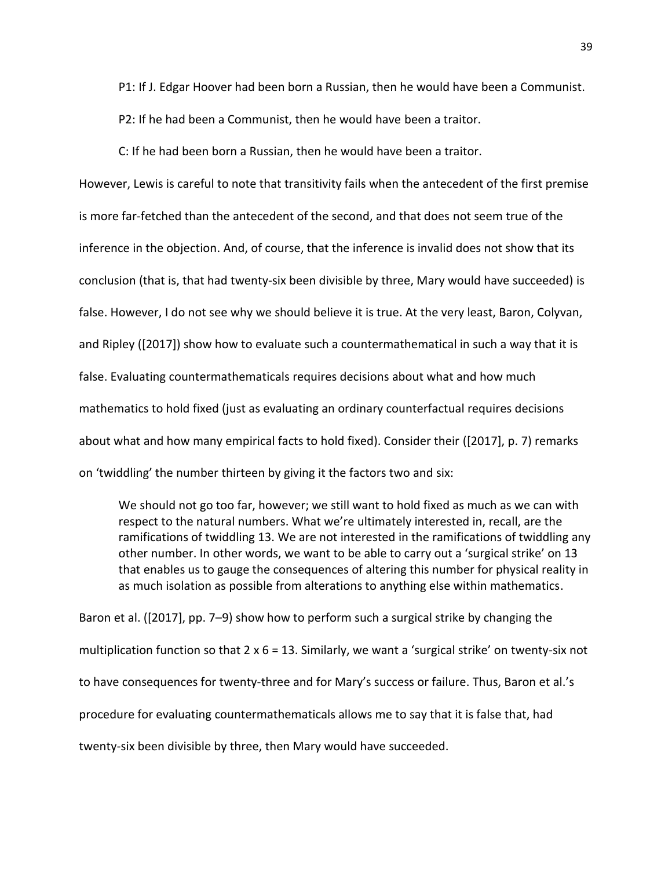P1: If J. Edgar Hoover had been born a Russian, then he would have been a Communist.

P2: If he had been a Communist, then he would have been a traitor.

C: If he had been born a Russian, then he would have been a traitor.

However, Lewis is careful to note that transitivity fails when the antecedent of the first premise is more far-fetched than the antecedent of the second, and that does not seem true of the inference in the objection. And, of course, that the inference is invalid does not show that its conclusion (that is, that had twenty-six been divisible by three, Mary would have succeeded) is false. However, I do not see why we should believe it is true. At the very least, Baron, Colyvan, and Ripley ([2017]) show how to evaluate such a countermathematical in such a way that it is false. Evaluating countermathematicals requires decisions about what and how much mathematics to hold fixed (just as evaluating an ordinary counterfactual requires decisions about what and how many empirical facts to hold fixed). Consider their ([2017], p. 7) remarks on 'twiddling' the number thirteen by giving it the factors two and six:

We should not go too far, however; we still want to hold fixed as much as we can with respect to the natural numbers. What we're ultimately interested in, recall, are the ramifications of twiddling 13. We are not interested in the ramifications of twiddling any other number. In other words, we want to be able to carry out a 'surgical strike' on 13 that enables us to gauge the consequences of altering this number for physical reality in as much isolation as possible from alterations to anything else within mathematics.

Baron et al. ([2017], pp. 7–9) show how to perform such a surgical strike by changing the multiplication function so that  $2 \times 6 = 13$ . Similarly, we want a 'surgical strike' on twenty-six not to have consequences for twenty-three and for Mary's success or failure. Thus, Baron et al.'s procedure for evaluating countermathematicals allows me to say that it is false that, had twenty-six been divisible by three, then Mary would have succeeded.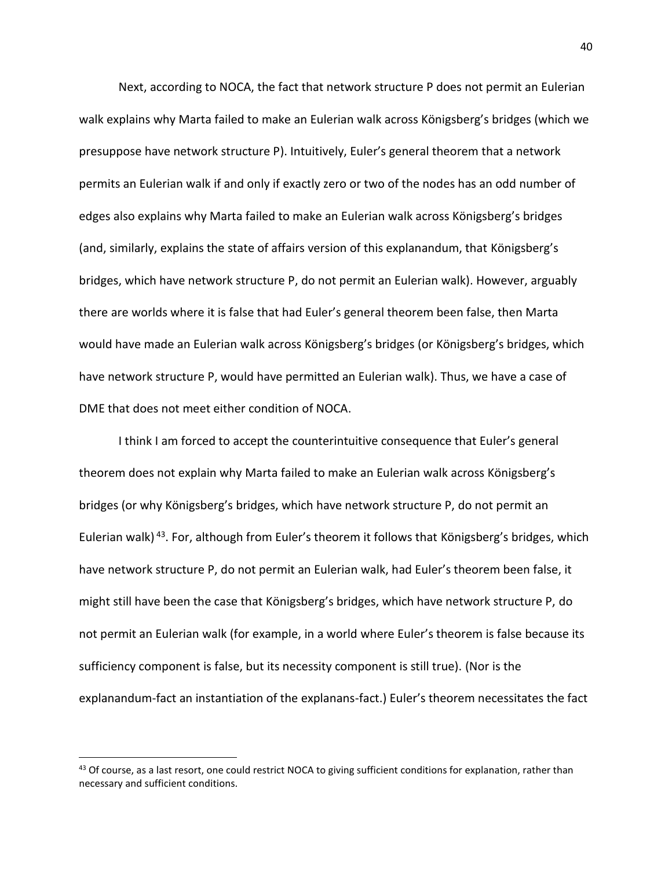Next, according to NOCA, the fact that network structure P does not permit an Eulerian walk explains why Marta failed to make an Eulerian walk across Königsberg's bridges (which we presuppose have network structure P). Intuitively, Euler's general theorem that a network permits an Eulerian walk if and only if exactly zero or two of the nodes has an odd number of edges also explains why Marta failed to make an Eulerian walk across Königsberg's bridges (and, similarly, explains the state of affairs version of this explanandum, that Königsberg's bridges, which have network structure P, do not permit an Eulerian walk). However, arguably there are worlds where it is false that had Euler's general theorem been false, then Marta would have made an Eulerian walk across Königsberg's bridges (or Königsberg's bridges, which have network structure P, would have permitted an Eulerian walk). Thus, we have a case of DME that does not meet either condition of NOCA.

I think I am forced to accept the counterintuitive consequence that Euler's general theorem does not explain why Marta failed to make an Eulerian walk across Königsberg's bridges (or why Königsberg's bridges, which have network structure P, do not permit an Eulerian walk)<sup>43</sup>. For, although from Euler's theorem it follows that Königsberg's bridges, which have network structure P, do not permit an Eulerian walk, had Euler's theorem been false, it might still have been the case that Königsberg's bridges, which have network structure P, do not permit an Eulerian walk (for example, in a world where Euler's theorem is false because its sufficiency component is false, but its necessity component is still true). (Nor is the explanandum-fact an instantiation of the explanans-fact.) Euler's theorem necessitates the fact

 $43$  Of course, as a last resort, one could restrict NOCA to giving sufficient conditions for explanation, rather than necessary and sufficient conditions.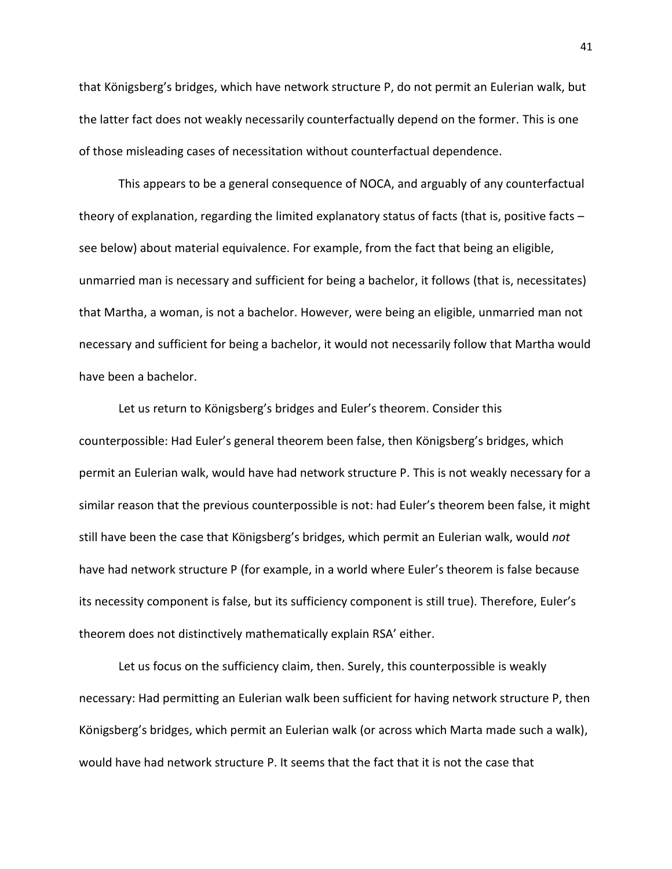that Königsberg's bridges, which have network structure P, do not permit an Eulerian walk, but the latter fact does not weakly necessarily counterfactually depend on the former. This is one of those misleading cases of necessitation without counterfactual dependence.

This appears to be a general consequence of NOCA, and arguably of any counterfactual theory of explanation, regarding the limited explanatory status of facts (that is, positive facts – see below) about material equivalence. For example, from the fact that being an eligible, unmarried man is necessary and sufficient for being a bachelor, it follows (that is, necessitates) that Martha, a woman, is not a bachelor. However, were being an eligible, unmarried man not necessary and sufficient for being a bachelor, it would not necessarily follow that Martha would have been a bachelor.

Let us return to Königsberg's bridges and Euler's theorem. Consider this counterpossible: Had Euler's general theorem been false, then Königsberg's bridges, which permit an Eulerian walk, would have had network structure P. This is not weakly necessary for a similar reason that the previous counterpossible is not: had Euler's theorem been false, it might still have been the case that Königsberg's bridges, which permit an Eulerian walk, would *not* have had network structure P (for example, in a world where Euler's theorem is false because its necessity component is false, but its sufficiency component is still true). Therefore, Euler's theorem does not distinctively mathematically explain RSA' either.

Let us focus on the sufficiency claim, then. Surely, this counterpossible is weakly necessary: Had permitting an Eulerian walk been sufficient for having network structure P, then Königsberg's bridges, which permit an Eulerian walk (or across which Marta made such a walk), would have had network structure P. It seems that the fact that it is not the case that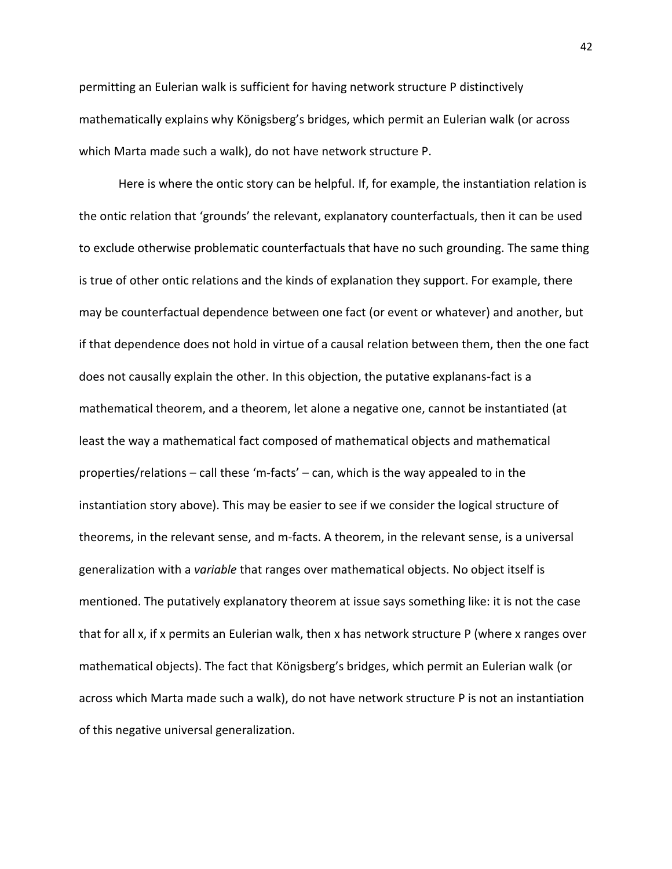permitting an Eulerian walk is sufficient for having network structure P distinctively mathematically explains why Königsberg's bridges, which permit an Eulerian walk (or across which Marta made such a walk), do not have network structure P.

Here is where the ontic story can be helpful. If, for example, the instantiation relation is the ontic relation that 'grounds' the relevant, explanatory counterfactuals, then it can be used to exclude otherwise problematic counterfactuals that have no such grounding. The same thing is true of other ontic relations and the kinds of explanation they support. For example, there may be counterfactual dependence between one fact (or event or whatever) and another, but if that dependence does not hold in virtue of a causal relation between them, then the one fact does not causally explain the other. In this objection, the putative explanans-fact is a mathematical theorem, and a theorem, let alone a negative one, cannot be instantiated (at least the way a mathematical fact composed of mathematical objects and mathematical properties/relations – call these 'm-facts' – can, which is the way appealed to in the instantiation story above). This may be easier to see if we consider the logical structure of theorems, in the relevant sense, and m-facts. A theorem, in the relevant sense, is a universal generalization with a *variable* that ranges over mathematical objects. No object itself is mentioned. The putatively explanatory theorem at issue says something like: it is not the case that for all x, if x permits an Eulerian walk, then x has network structure P (where x ranges over mathematical objects). The fact that Königsberg's bridges, which permit an Eulerian walk (or across which Marta made such a walk), do not have network structure P is not an instantiation of this negative universal generalization.

42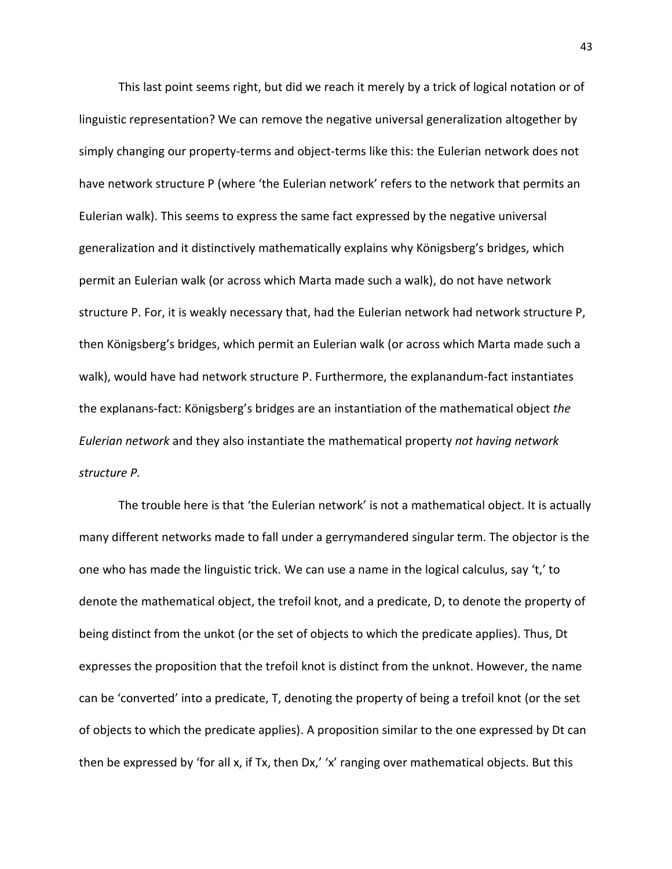This last point seems right, but did we reach it merely by a trick of logical notation or of linguistic representation? We can remove the negative universal generalization altogether by simply changing our property-terms and object-terms like this: the Eulerian network does not have network structure P (where 'the Eulerian network' refers to the network that permits an Eulerian walk). This seems to express the same fact expressed by the negative universal generalization and it distinctively mathematically explains why Königsberg's bridges, which permit an Eulerian walk (or across which Marta made such a walk), do not have network structure P. For, it is weakly necessary that, had the Eulerian network had network structure P, then Königsberg's bridges, which permit an Eulerian walk (or across which Marta made such a walk), would have had network structure P. Furthermore, the explanandum-fact instantiates the explanans-fact: Königsberg's bridges are an instantiation of the mathematical object *the Eulerian network* and they also instantiate the mathematical property *not having network structure P.*

The trouble here is that 'the Eulerian network' is not a mathematical object. It is actually many different networks made to fall under a gerrymandered singular term. The objector is the one who has made the linguistic trick. We can use a name in the logical calculus, say 't,' to denote the mathematical object, the trefoil knot, and a predicate, D, to denote the property of being distinct from the unkot (or the set of objects to which the predicate applies). Thus, Dt expresses the proposition that the trefoil knot is distinct from the unknot. However, the name can be 'converted' into a predicate, T, denoting the property of being a trefoil knot (or the set of objects to which the predicate applies). A proposition similar to the one expressed by Dt can then be expressed by 'for all x, if Tx, then Dx,' 'x' ranging over mathematical objects. But this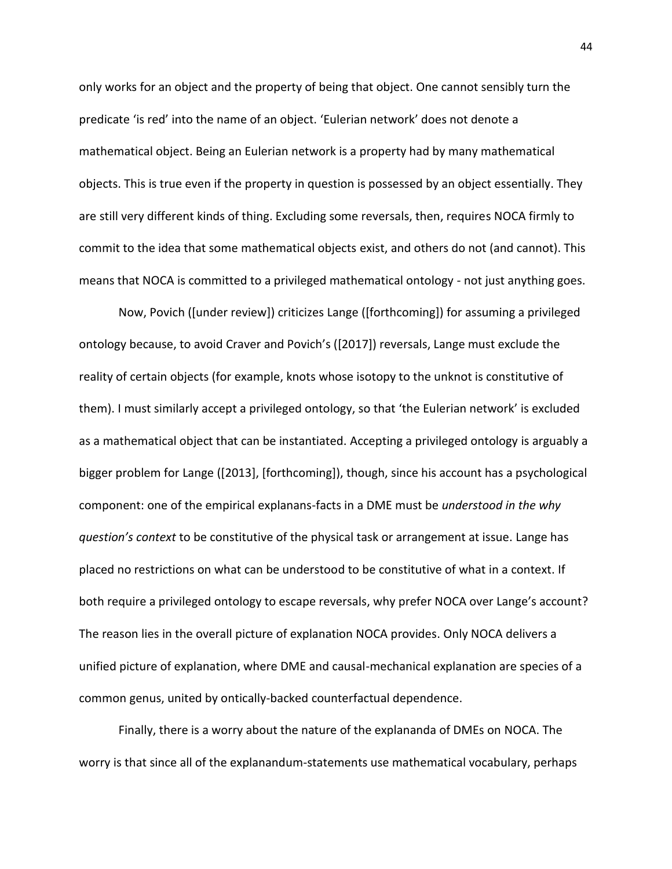only works for an object and the property of being that object. One cannot sensibly turn the predicate 'is red' into the name of an object. 'Eulerian network' does not denote a mathematical object. Being an Eulerian network is a property had by many mathematical objects. This is true even if the property in question is possessed by an object essentially. They are still very different kinds of thing. Excluding some reversals, then, requires NOCA firmly to commit to the idea that some mathematical objects exist, and others do not (and cannot). This means that NOCA is committed to a privileged mathematical ontology - not just anything goes.

Now, Povich ([under review]) criticizes Lange ([forthcoming]) for assuming a privileged ontology because, to avoid Craver and Povich's ([2017]) reversals, Lange must exclude the reality of certain objects (for example, knots whose isotopy to the unknot is constitutive of them). I must similarly accept a privileged ontology, so that 'the Eulerian network' is excluded as a mathematical object that can be instantiated. Accepting a privileged ontology is arguably a bigger problem for Lange ([2013], [forthcoming]), though, since his account has a psychological component: one of the empirical explanans-facts in a DME must be *understood in the why question's context* to be constitutive of the physical task or arrangement at issue. Lange has placed no restrictions on what can be understood to be constitutive of what in a context. If both require a privileged ontology to escape reversals, why prefer NOCA over Lange's account? The reason lies in the overall picture of explanation NOCA provides. Only NOCA delivers a unified picture of explanation, where DME and causal-mechanical explanation are species of a common genus, united by ontically-backed counterfactual dependence.

Finally, there is a worry about the nature of the explananda of DMEs on NOCA. The worry is that since all of the explanandum-statements use mathematical vocabulary, perhaps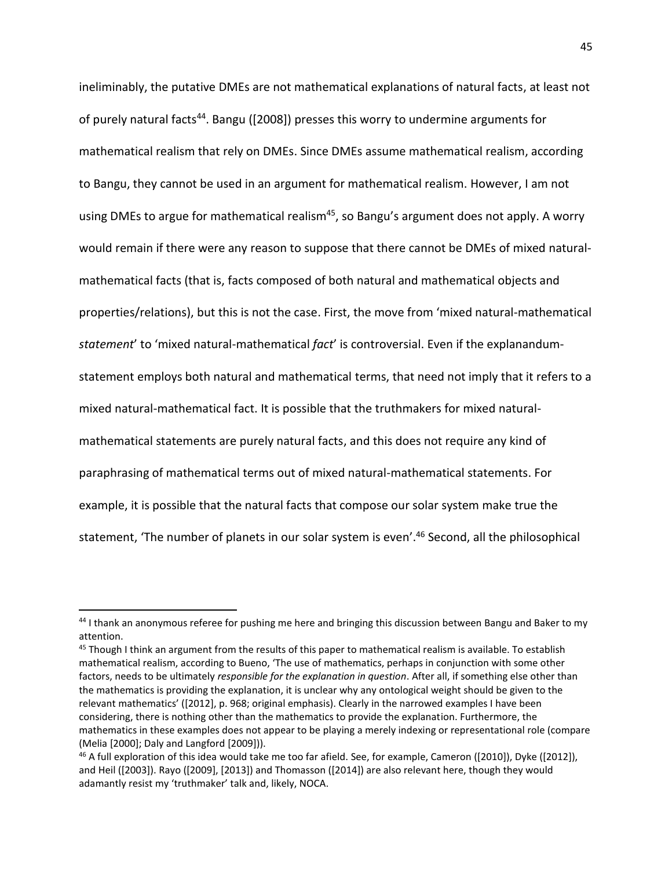ineliminably, the putative DMEs are not mathematical explanations of natural facts, at least not of purely natural facts<sup>44</sup>. Bangu ([2008]) presses this worry to undermine arguments for mathematical realism that rely on DMEs. Since DMEs assume mathematical realism, according to Bangu, they cannot be used in an argument for mathematical realism. However, I am not using DMEs to argue for mathematical realism<sup>45</sup>, so Bangu's argument does not apply. A worry would remain if there were any reason to suppose that there cannot be DMEs of mixed naturalmathematical facts (that is, facts composed of both natural and mathematical objects and properties/relations), but this is not the case. First, the move from 'mixed natural-mathematical *statement*' to 'mixed natural-mathematical *fact*' is controversial. Even if the explanandumstatement employs both natural and mathematical terms, that need not imply that it refers to a mixed natural-mathematical fact. It is possible that the truthmakers for mixed naturalmathematical statements are purely natural facts, and this does not require any kind of paraphrasing of mathematical terms out of mixed natural-mathematical statements. For example, it is possible that the natural facts that compose our solar system make true the statement, 'The number of planets in our solar system is even'. <sup>46</sup> Second, all the philosophical

<sup>44</sup> I thank an anonymous referee for pushing me here and bringing this discussion between Bangu and Baker to my attention.

<sup>&</sup>lt;sup>45</sup> Though I think an argument from the results of this paper to mathematical realism is available. To establish mathematical realism, according to Bueno, 'The use of mathematics, perhaps in conjunction with some other factors, needs to be ultimately *responsible for the explanation in question*. After all, if something else other than the mathematics is providing the explanation, it is unclear why any ontological weight should be given to the relevant mathematics' ([2012], p. 968; original emphasis). Clearly in the narrowed examples I have been considering, there is nothing other than the mathematics to provide the explanation. Furthermore, the mathematics in these examples does not appear to be playing a merely indexing or representational role (compare (Melia [2000]; Daly and Langford [2009])).

<sup>&</sup>lt;sup>46</sup> A full exploration of this idea would take me too far afield. See, for example, Cameron ([2010]), Dyke ([2012]), and Heil ([2003]). Rayo ([2009], [2013]) and Thomasson ([2014]) are also relevant here, though they would adamantly resist my 'truthmaker' talk and, likely, NOCA.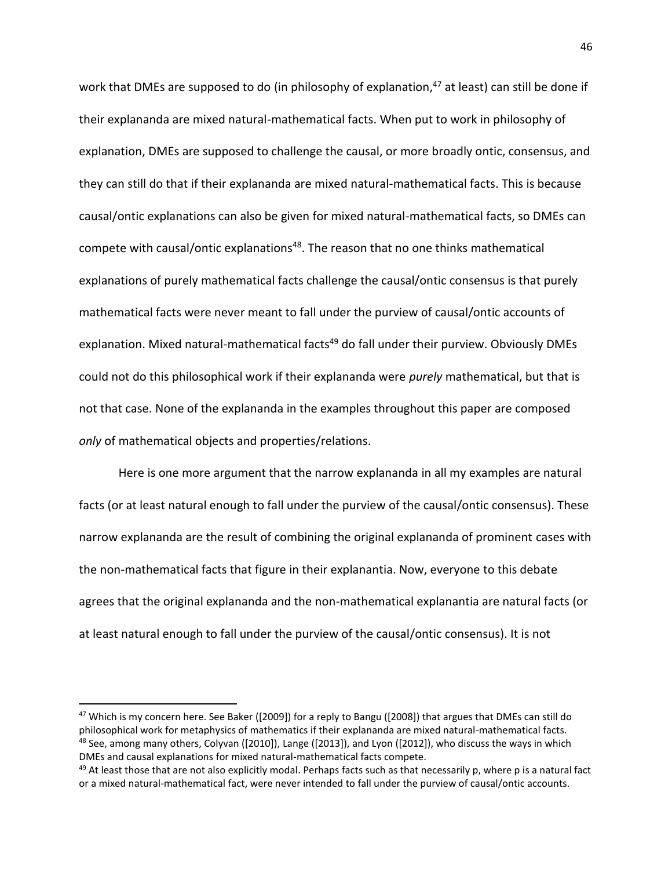work that DMEs are supposed to do (in philosophy of explanation,<sup>47</sup> at least) can still be done if their explananda are mixed natural-mathematical facts. When put to work in philosophy of explanation, DMEs are supposed to challenge the causal, or more broadly ontic, consensus, and they can still do that if their explananda are mixed natural-mathematical facts. This is because causal/ontic explanations can also be given for mixed natural-mathematical facts, so DMEs can compete with causal/ontic explanations<sup>48</sup>. The reason that no one thinks mathematical explanations of purely mathematical facts challenge the causal/ontic consensus is that purely mathematical facts were never meant to fall under the purview of causal/ontic accounts of explanation. Mixed natural-mathematical facts<sup>49</sup> do fall under their purview. Obviously DMEs could not do this philosophical work if their explananda were *purely* mathematical, but that is not that case. None of the explananda in the examples throughout this paper are composed *only* of mathematical objects and properties/relations.

Here is one more argument that the narrow explananda in all my examples are natural facts (or at least natural enough to fall under the purview of the causal/ontic consensus). These narrow explananda are the result of combining the original explananda of prominent cases with the non-mathematical facts that figure in their explanantia. Now, everyone to this debate agrees that the original explananda and the non-mathematical explanantia are natural facts (or at least natural enough to fall under the purview of the causal/ontic consensus). It is not

l

<sup>&</sup>lt;sup>47</sup> Which is my concern here. See Baker ([2009]) for a reply to Bangu ([2008]) that argues that DMEs can still do philosophical work for metaphysics of mathematics if their explananda are mixed natural-mathematical facts. <sup>48</sup> See, among many others, Colyvan ([2010]), Lange ([2013]), and Lyon ([2012]), who discuss the ways in which DMEs and causal explanations for mixed natural-mathematical facts compete.

 $49$  At least those that are not also explicitly modal. Perhaps facts such as that necessarily p, where p is a natural fact or a mixed natural-mathematical fact, were never intended to fall under the purview of causal/ontic accounts.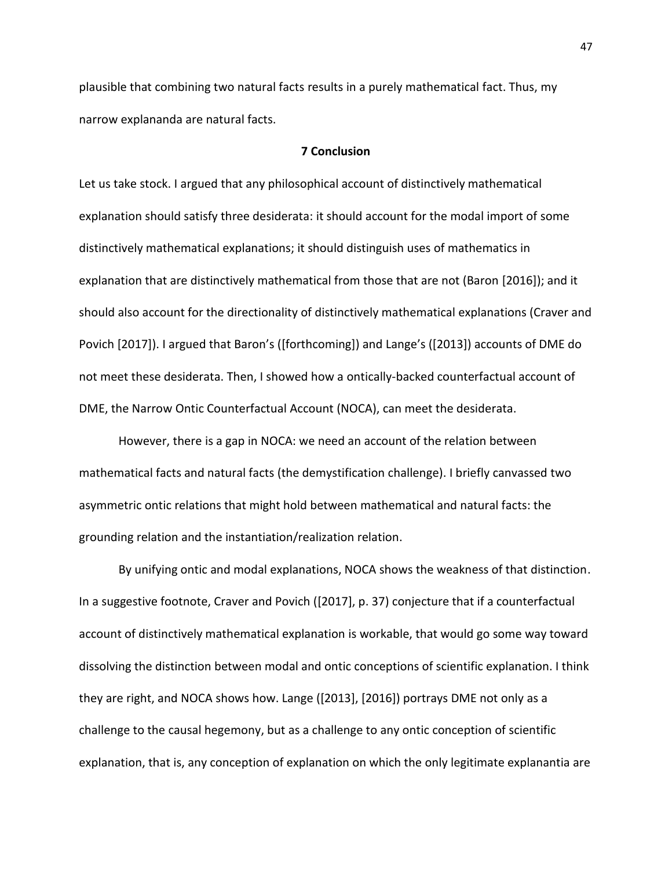plausible that combining two natural facts results in a purely mathematical fact. Thus, my narrow explananda are natural facts.

### **7 Conclusion**

Let us take stock. I argued that any philosophical account of distinctively mathematical explanation should satisfy three desiderata: it should account for the modal import of some distinctively mathematical explanations; it should distinguish uses of mathematics in explanation that are distinctively mathematical from those that are not (Baron [2016]); and it should also account for the directionality of distinctively mathematical explanations (Craver and Povich [2017]). I argued that Baron's ([forthcoming]) and Lange's ([2013]) accounts of DME do not meet these desiderata. Then, I showed how a ontically-backed counterfactual account of DME, the Narrow Ontic Counterfactual Account (NOCA), can meet the desiderata.

However, there is a gap in NOCA: we need an account of the relation between mathematical facts and natural facts (the demystification challenge). I briefly canvassed two asymmetric ontic relations that might hold between mathematical and natural facts: the grounding relation and the instantiation/realization relation.

By unifying ontic and modal explanations, NOCA shows the weakness of that distinction. In a suggestive footnote, Craver and Povich ([2017], p. 37) conjecture that if a counterfactual account of distinctively mathematical explanation is workable, that would go some way toward dissolving the distinction between modal and ontic conceptions of scientific explanation. I think they are right, and NOCA shows how. Lange ([2013], [2016]) portrays DME not only as a challenge to the causal hegemony, but as a challenge to any ontic conception of scientific explanation, that is, any conception of explanation on which the only legitimate explanantia are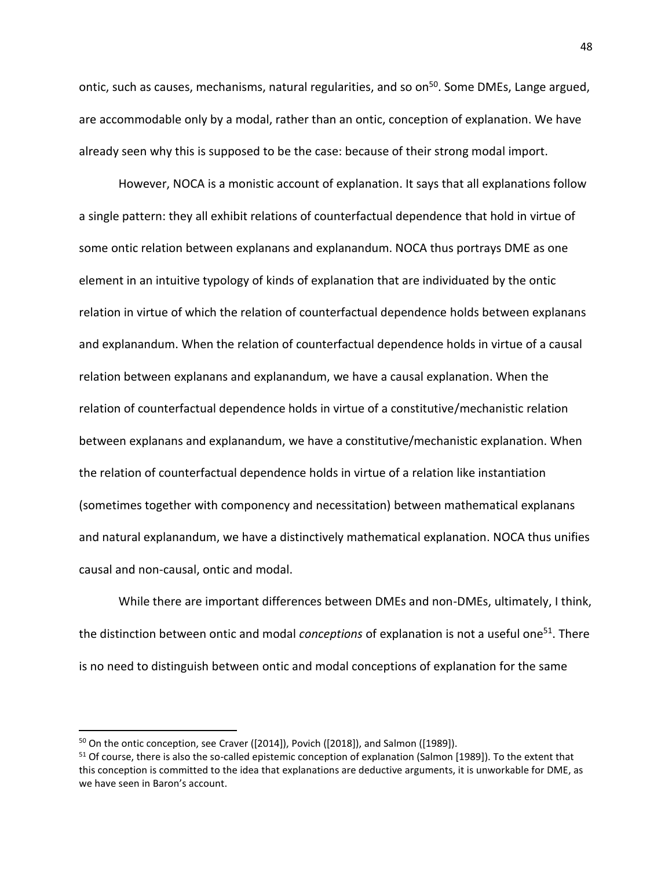ontic, such as causes, mechanisms, natural regularities, and so on<sup>50</sup>. Some DMEs, Lange argued, are accommodable only by a modal, rather than an ontic, conception of explanation. We have already seen why this is supposed to be the case: because of their strong modal import.

However, NOCA is a monistic account of explanation. It says that all explanations follow a single pattern: they all exhibit relations of counterfactual dependence that hold in virtue of some ontic relation between explanans and explanandum. NOCA thus portrays DME as one element in an intuitive typology of kinds of explanation that are individuated by the ontic relation in virtue of which the relation of counterfactual dependence holds between explanans and explanandum. When the relation of counterfactual dependence holds in virtue of a causal relation between explanans and explanandum, we have a causal explanation. When the relation of counterfactual dependence holds in virtue of a constitutive/mechanistic relation between explanans and explanandum, we have a constitutive/mechanistic explanation. When the relation of counterfactual dependence holds in virtue of a relation like instantiation (sometimes together with componency and necessitation) between mathematical explanans and natural explanandum, we have a distinctively mathematical explanation. NOCA thus unifies causal and non-causal, ontic and modal.

While there are important differences between DMEs and non-DMEs, ultimately, I think, the distinction between ontic and modal *conceptions* of explanation is not a useful one<sup>51</sup>. There is no need to distinguish between ontic and modal conceptions of explanation for the same

l

<sup>&</sup>lt;sup>50</sup> On the ontic conception, see Craver ([2014]), Povich ([2018]), and Salmon ([1989]).

<sup>&</sup>lt;sup>51</sup> Of course, there is also the so-called epistemic conception of explanation (Salmon [1989]). To the extent that this conception is committed to the idea that explanations are deductive arguments, it is unworkable for DME, as we have seen in Baron's account.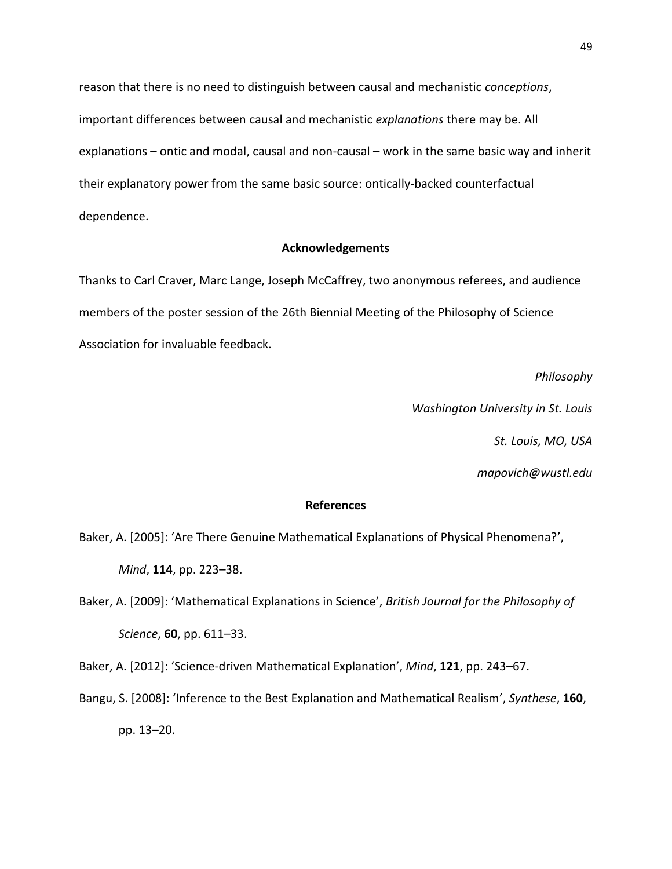reason that there is no need to distinguish between causal and mechanistic *conceptions*, important differences between causal and mechanistic *explanations* there may be. All explanations – ontic and modal, causal and non-causal – work in the same basic way and inherit their explanatory power from the same basic source: ontically-backed counterfactual dependence.

#### **Acknowledgements**

Thanks to Carl Craver, Marc Lange, Joseph McCaffrey, two anonymous referees, and audience members of the poster session of the 26th Biennial Meeting of the Philosophy of Science Association for invaluable feedback.

*Philosophy* 

*Washington University in St. Louis* 

*St. Louis, MO, USA* 

*mapovich@wustl.edu*

### **References**

- Baker, A. [2005]: 'Are There Genuine Mathematical Explanations of Physical Phenomena?', *Mind*, **114**, pp. 223–38.
- Baker, A. [2009]: 'Mathematical Explanations in Science', *British Journal for the Philosophy of Science*, **60**, pp. 611–33.

Baker, A. [2012]: 'Science-driven Mathematical Explanation', *Mind*, **121**, pp. 243–67.

Bangu, S. [2008]: 'Inference to the Best Explanation and Mathematical Realism', *Synthese*, **160**, pp. 13–20.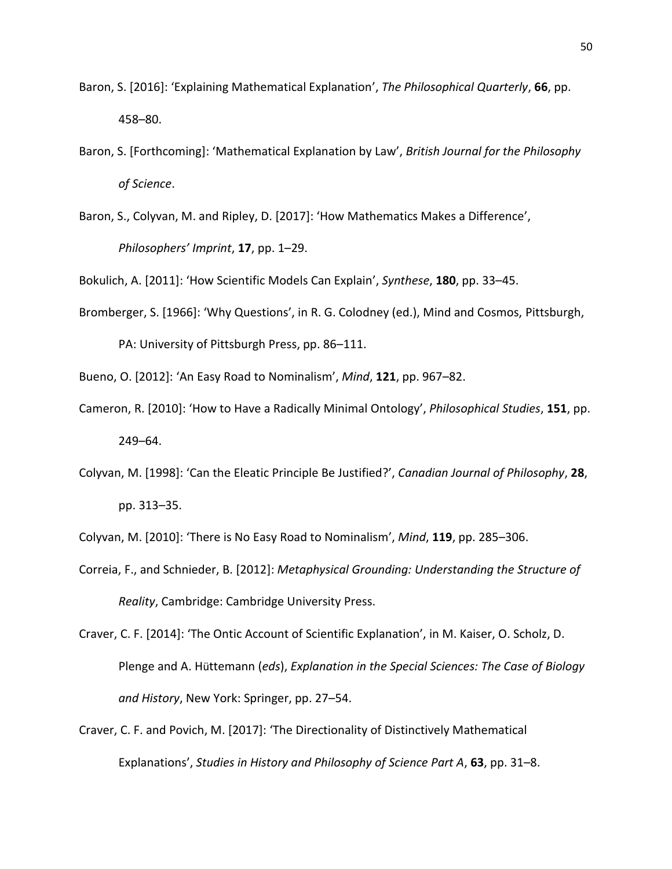- Baron, S. [2016]: 'Explaining Mathematical Explanation', *The Philosophical Quarterly*, **66**, pp. 458–80.
- Baron, S. [Forthcoming]: 'Mathematical Explanation by Law', *British Journal for the Philosophy of Science*.
- Baron, S., Colyvan, M. and Ripley, D. [2017]: 'How Mathematics Makes a Difference', *Philosophers' Imprint*, **17**, pp. 1–29.

Bokulich, A. [2011]: 'How Scientific Models Can Explain', *Synthese*, **180**, pp. 33–45.

- Bromberger, S. [1966]: 'Why Questions', in R. G. Colodney (ed.), Mind and Cosmos, Pittsburgh, PA: University of Pittsburgh Press, pp. 86–111.
- Bueno, O. [2012]: 'An Easy Road to Nominalism', *Mind*, **121**, pp. 967–82.
- Cameron, R. [2010]: 'How to Have a Radically Minimal Ontology', *Philosophical Studies*, **151**, pp. 249–64.
- Colyvan, M. [1998]: 'Can the Eleatic Principle Be Justified?', *Canadian Journal of Philosophy*, **28**, pp. 313–35.

Colyvan, M. [2010]: 'There is No Easy Road to Nominalism', *Mind*, **119**, pp. 285–306.

Correia, F., and Schnieder, B. [2012]: *Metaphysical Grounding: Understanding the Structure of Reality*, Cambridge: Cambridge University Press.

Craver, C. F. [2014]: 'The Ontic Account of Scientific Explanation', in M. Kaiser, O. Scholz, D. Plenge and A. Hüttemann (*eds*), *Explanation in the Special Sciences: The Case of Biology and History*, New York: Springer, pp. 27–54.

Craver, C. F. and Povich, M. [2017]: 'The Directionality of Distinctively Mathematical Explanations', *Studies in History and Philosophy of Science Part A*, **63**, pp. 31–8.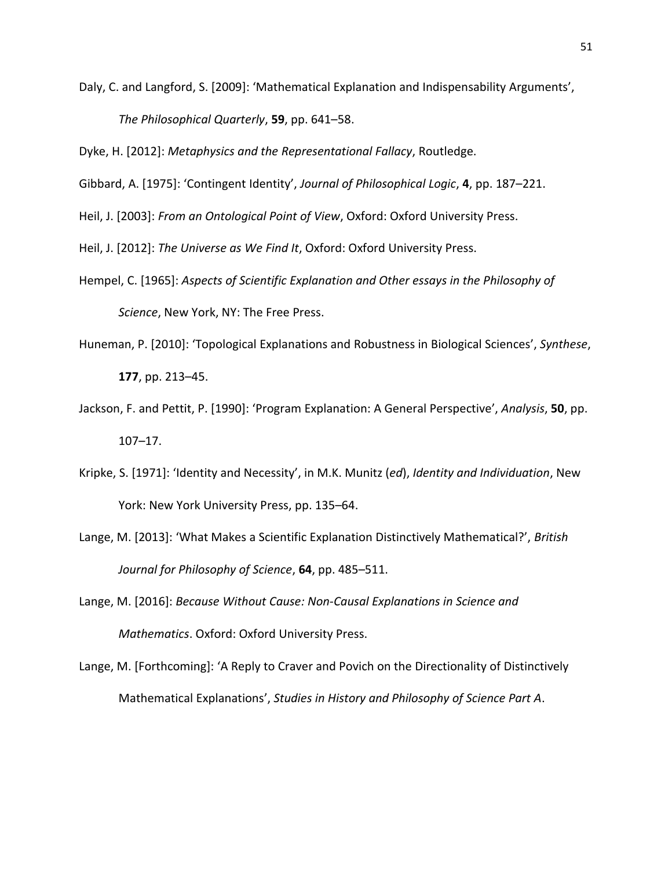Daly, C. and Langford, S. [2009]: 'Mathematical Explanation and Indispensability Arguments', *The Philosophical Quarterly*, **59**, pp. 641–58.

Dyke, H. [2012]: *Metaphysics and the Representational Fallacy*, Routledge.

Gibbard, A. [1975]: 'Contingent Identity', *Journal of Philosophical Logic*, **4**, pp. 187–221.

Heil, J. [2003]: *From an Ontological Point of View*, Oxford: Oxford University Press.

Heil, J. [2012]: *The Universe as We Find It*, Oxford: Oxford University Press.

- Hempel, C. [1965]: *Aspects of Scientific Explanation and Other essays in the Philosophy of Science*, New York, NY: The Free Press.
- Huneman, P. [2010]: 'Topological Explanations and Robustness in Biological Sciences', *Synthese*, **177**, pp. 213–45.
- Jackson, F. and Pettit, P. [1990]: 'Program Explanation: A General Perspective', *Analysis*, **50**, pp. 107–17.
- Kripke, S. [1971]: 'Identity and Necessity', in M.K. Munitz (*ed*), *Identity and Individuation*, New York: New York University Press, pp. 135–64.
- Lange, M. [2013]: 'What Makes a Scientific Explanation Distinctively Mathematical?', *British Journal for Philosophy of Science*, **64**, pp. 485–511.
- Lange, M. [2016]: *Because Without Cause: Non-Causal Explanations in Science and Mathematics*. Oxford: Oxford University Press.
- Lange, M. [Forthcoming]: 'A Reply to Craver and Povich on the Directionality of Distinctively Mathematical Explanations', *Studies in History and Philosophy of Science Part A*.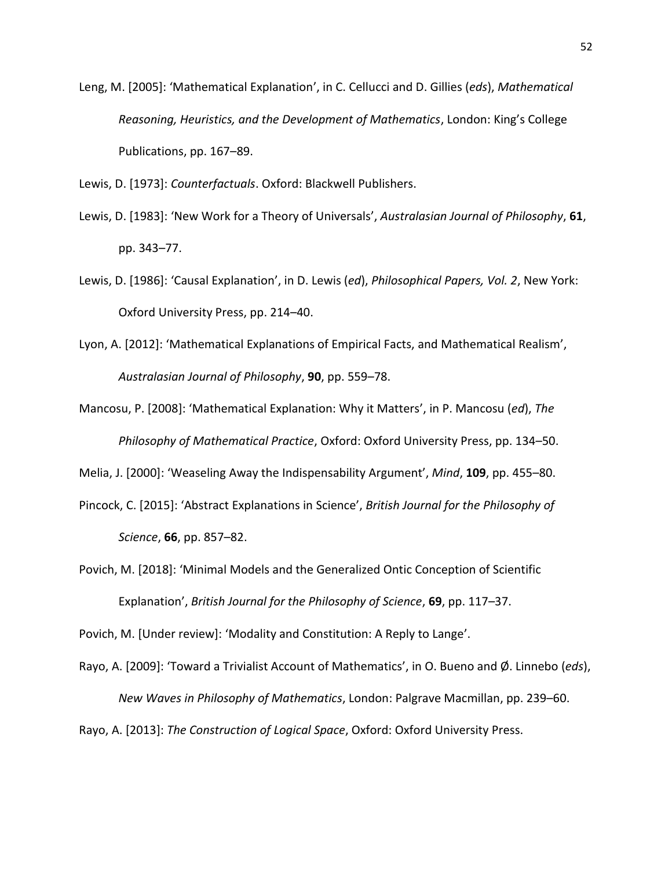Leng, M. [2005]: 'Mathematical Explanation', in C. Cellucci and D. Gillies (*eds*), *Mathematical Reasoning, Heuristics, and the Development of Mathematics*, London: King's College Publications, pp. 167–89.

Lewis, D. [1973]: *Counterfactuals*. Oxford: Blackwell Publishers.

- Lewis, D. [1983]: 'New Work for a Theory of Universals', *Australasian Journal of Philosophy*, **61**, pp. 343–77.
- Lewis, D. [1986]: 'Causal Explanation', in D. Lewis (*ed*), *Philosophical Papers, Vol. 2*, New York: Oxford University Press, pp. 214–40.
- Lyon, A. [2012]: 'Mathematical Explanations of Empirical Facts, and Mathematical Realism', *Australasian Journal of Philosophy*, **90**, pp. 559–78.
- Mancosu, P. [2008]: 'Mathematical Explanation: Why it Matters', in P. Mancosu (*ed*), *The Philosophy of Mathematical Practice*, Oxford: Oxford University Press, pp. 134–50.
- Melia, J. [2000]: 'Weaseling Away the Indispensability Argument', *Mind*, **109**, pp. 455–80.
- Pincock, C. [2015]: 'Abstract Explanations in Science', *British Journal for the Philosophy of Science*, **66**, pp. 857–82.
- Povich, M. [2018]: 'Minimal Models and the Generalized Ontic Conception of Scientific Explanation', *British Journal for the Philosophy of Science*, **69**, pp. 117–37.

Povich, M. [Under review]: 'Modality and Constitution: A Reply to Lange'.

Rayo, A. [2009]: 'Toward a Trivialist Account of Mathematics', in O. Bueno and Ø. Linnebo (*eds*), *New Waves in Philosophy of Mathematics*, London: Palgrave Macmillan, pp. 239–60. Rayo, A. [2013]: *The Construction of Logical Space*, Oxford: Oxford University Press.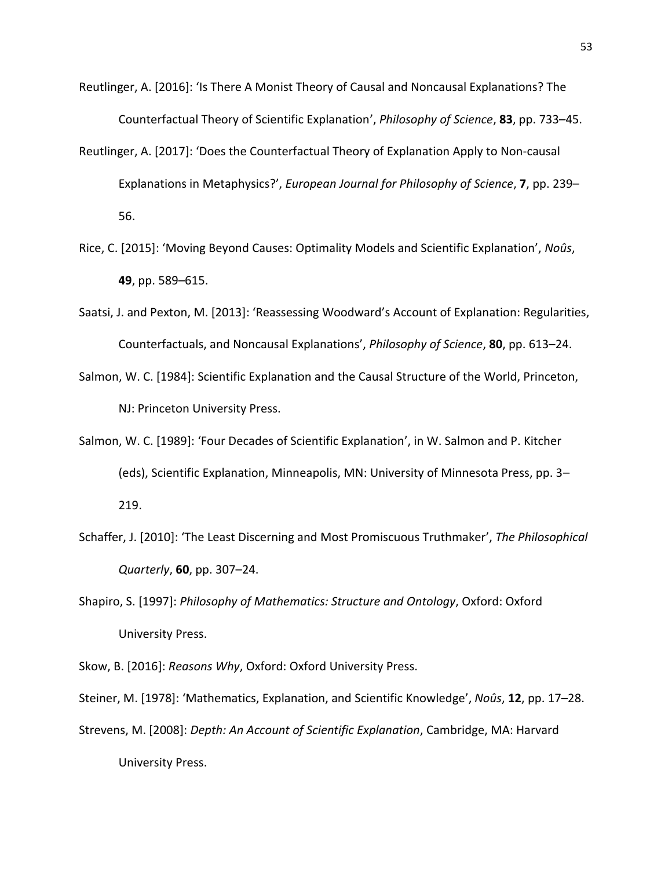- Reutlinger, A. [2016]: 'Is There A Monist Theory of Causal and Noncausal Explanations? The Counterfactual Theory of Scientific Explanation', *Philosophy of Science*, **83**, pp. 733–45.
- Reutlinger, A. [2017]: 'Does the Counterfactual Theory of Explanation Apply to Non-causal Explanations in Metaphysics?', *European Journal for Philosophy of Science*, **7**, pp. 239– 56.
- Rice, C. [2015]: 'Moving Beyond Causes: Optimality Models and Scientific Explanation', *Noûs*, **49**, pp. 589–615.
- Saatsi, J. and Pexton, M. [2013]: 'Reassessing Woodward's Account of Explanation: Regularities, Counterfactuals, and Noncausal Explanations', *Philosophy of Science*, **80**, pp. 613–24.
- Salmon, W. C. [1984]: Scientific Explanation and the Causal Structure of the World, Princeton, NJ: Princeton University Press.
- Salmon, W. C. [1989]: 'Four Decades of Scientific Explanation', in W. Salmon and P. Kitcher (eds), Scientific Explanation, Minneapolis, MN: University of Minnesota Press, pp. 3– 219.
- Schaffer, J. [2010]: 'The Least Discerning and Most Promiscuous Truthmaker', *The Philosophical Quarterly*, **60**, pp. 307–24.
- Shapiro, S. [1997]: *Philosophy of Mathematics: Structure and Ontology*, Oxford: Oxford University Press.
- Skow, B. [2016]: *Reasons Why*, Oxford: Oxford University Press.

Steiner, M. [1978]: 'Mathematics, Explanation, and Scientific Knowledge', *Noûs*, **12**, pp. 17–28. Strevens, M. [2008]: *Depth: An Account of Scientific Explanation*, Cambridge, MA: Harvard University Press.